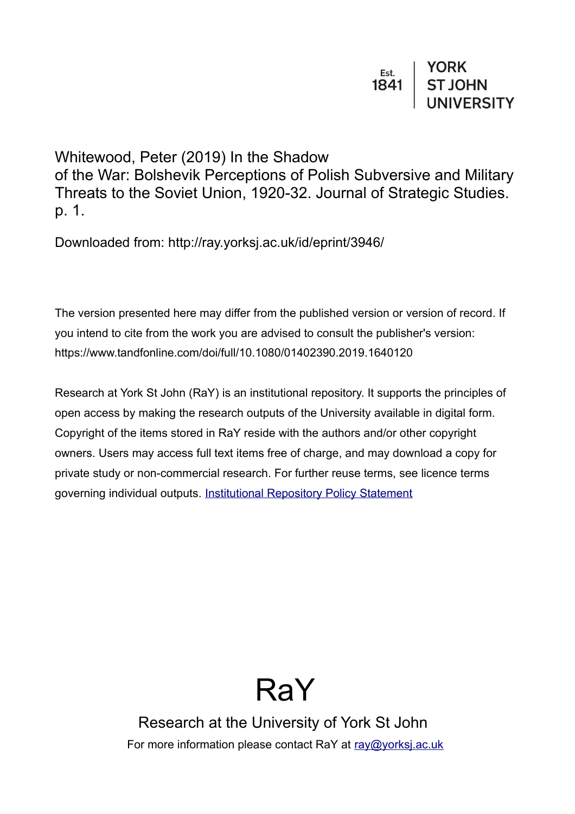Whitewood, Peter (2019) In the Shadow of the War: Bolshevik Perceptions of Polish Subversive and Military Threats to the Soviet Union, 1920-32. Journal of Strategic Studies. p. 1.

Downloaded from: http://ray.yorksj.ac.uk/id/eprint/3946/

The version presented here may differ from the published version or version of record. If you intend to cite from the work you are advised to consult the publisher's version: https://www.tandfonline.com/doi/full/10.1080/01402390.2019.1640120

Research at York St John (RaY) is an institutional repository. It supports the principles of open access by making the research outputs of the University available in digital form. Copyright of the items stored in RaY reside with the authors and/or other copyright owners. Users may access full text items free of charge, and may download a copy for private study or non-commercial research. For further reuse terms, see licence terms governing individual outputs. [Institutional Repository Policy Statement](https://www.yorksj.ac.uk/ils/repository-policies/)

# RaY

Research at the University of York St John For more information please contact RaY at [ray@yorksj.ac.uk](mailto:ray@yorksj.ac.uk)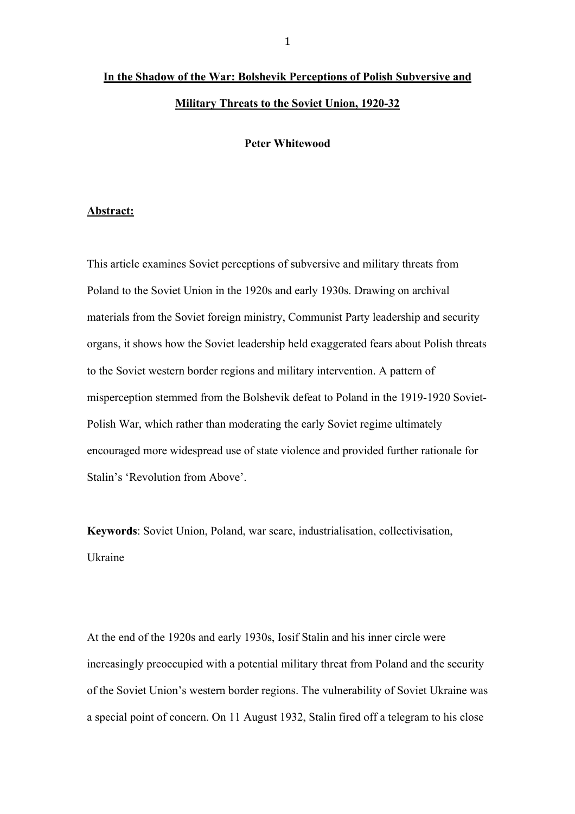# **In the Shadow of the War: Bolshevik Perceptions of Polish Subversive and Military Threats to the Soviet Union, 1920-32**

**Peter Whitewood**

#### **Abstract:**

This article examines Soviet perceptions of subversive and military threats from Poland to the Soviet Union in the 1920s and early 1930s. Drawing on archival materials from the Soviet foreign ministry, Communist Party leadership and security organs, it shows how the Soviet leadership held exaggerated fears about Polish threats to the Soviet western border regions and military intervention. A pattern of misperception stemmed from the Bolshevik defeat to Poland in the 1919-1920 Soviet-Polish War, which rather than moderating the early Soviet regime ultimately encouraged more widespread use of state violence and provided further rationale for Stalin's 'Revolution from Above'.

**Keywords**: Soviet Union, Poland, war scare, industrialisation, collectivisation, Ukraine

At the end of the 1920s and early 1930s, Iosif Stalin and his inner circle were increasingly preoccupied with a potential military threat from Poland and the security of the Soviet Union's western border regions. The vulnerability of Soviet Ukraine was a special point of concern. On 11 August 1932, Stalin fired off a telegram to his close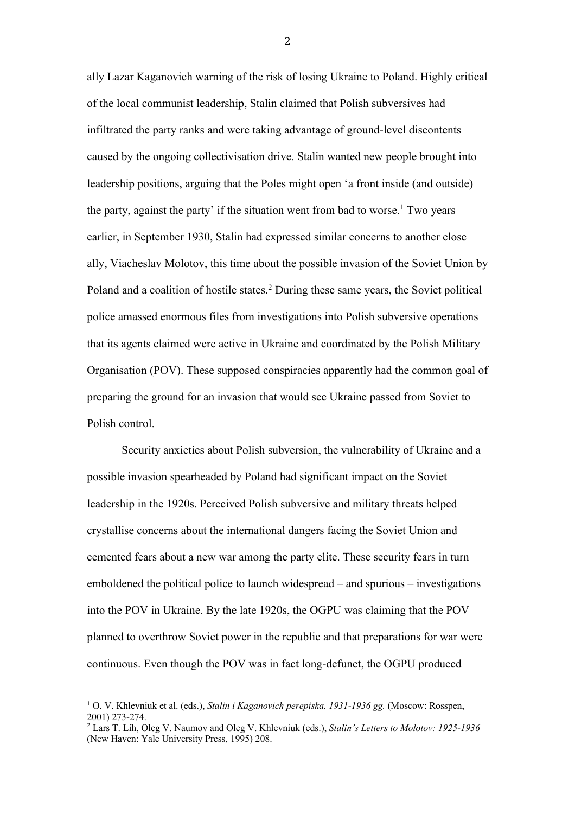ally Lazar Kaganovich warning of the risk of losing Ukraine to Poland. Highly critical of the local communist leadership, Stalin claimed that Polish subversives had infiltrated the party ranks and were taking advantage of ground-level discontents caused by the ongoing collectivisation drive. Stalin wanted new people brought into leadership positions, arguing that the Poles might open 'a front inside (and outside) the party, against the party' if the situation went from bad to worse.<sup>1</sup> Two years earlier, in September 1930, Stalin had expressed similar concerns to another close ally, Viacheslav Molotov, this time about the possible invasion of the Soviet Union by Poland and a coalition of hostile states. <sup>2</sup> During these same years, the Soviet political police amassed enormous files from investigations into Polish subversive operations that its agents claimed were active in Ukraine and coordinated by the Polish Military Organisation (POV). These supposed conspiracies apparently had the common goal of preparing the ground for an invasion that would see Ukraine passed from Soviet to Polish control.

Security anxieties about Polish subversion, the vulnerability of Ukraine and a possible invasion spearheaded by Poland had significant impact on the Soviet leadership in the 1920s. Perceived Polish subversive and military threats helped crystallise concerns about the international dangers facing the Soviet Union and cemented fears about a new war among the party elite. These security fears in turn emboldened the political police to launch widespread – and spurious – investigations into the POV in Ukraine. By the late 1920s, the OGPU was claiming that the POV planned to overthrow Soviet power in the republic and that preparations for war were continuous. Even though the POV was in fact long-defunct, the OGPU produced

 

<sup>1</sup> O. V. Khlevniuk et al. (eds.), *Stalin i Kaganovich perepiska. 1931-1936 gg.* (Moscow: Rosspen,

<sup>&</sup>lt;sup>2</sup> Lars T. Lih, Oleg V. Naumov and Oleg V. Khlevniuk (eds.), *Stalin's Letters to Molotov: 1925-1936* (New Haven: Yale University Press, 1995) 208.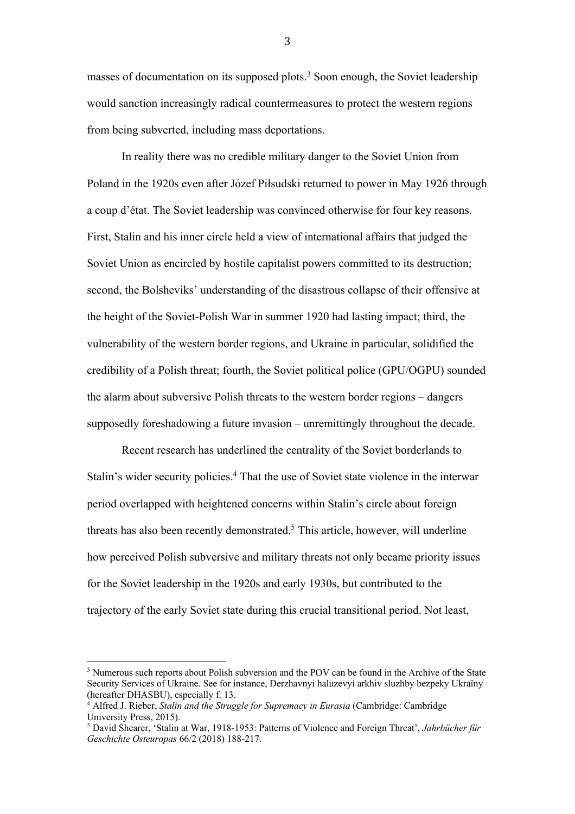masses of documentation on its supposed plots.<sup>3</sup> Soon enough, the Soviet leadership would sanction increasingly radical countermeasures to protect the western regions from being subverted, including mass deportations.

In reality there was no credible military danger to the Soviet Union from Poland in the 1920s even after Józef Piłsudski returned to power in May 1926 through a coup d'état. The Soviet leadership was convinced otherwise for four key reasons. First, Stalin and his inner circle held a view of international affairs that judged the Soviet Union as encircled by hostile capitalist powers committed to its destruction; second, the Bolsheviks' understanding of the disastrous collapse of their offensive at the height of the Soviet-Polish War in summer 1920 had lasting impact; third, the vulnerability of the western border regions, and Ukraine in particular, solidified the credibility of a Polish threat; fourth, the Soviet political police (GPU/OGPU) sounded the alarm about subversive Polish threats to the western border regions – dangers supposedly foreshadowing a future invasion – unremittingly throughout the decade.

Recent research has underlined the centrality of the Soviet borderlands to Stalin's wider security policies. <sup>4</sup> That the use of Soviet state violence in the interwar period overlapped with heightened concerns within Stalin's circle about foreign threats has also been recently demonstrated. <sup>5</sup> This article, however, will underline how perceived Polish subversive and military threats not only became priority issues for the Soviet leadership in the 1920s and early 1930s, but contributed to the trajectory of the early Soviet state during this crucial transitional period. Not least,

 

<sup>&</sup>lt;sup>3</sup> Numerous such reports about Polish subversion and the POV can be found in the Archive of the State Security Services of Ukraine. See for instance, Derzhavnyi haluzevyi arkhiv sluzhby bezpeky Ukraïny (hereafter DHASBU), especially f. 13.

<sup>4</sup> Alfred J. Rieber, *Stalin and the Struggle for Supremacy in Eurasia* (Cambridge: Cambridge University Press, 2015).

<sup>5</sup> David Shearer, 'Stalin at War, 1918-1953: Patterns of Violence and Foreign Threat', *Jahrbücher für Geschichte Osteuropas* 66/2 (2018) 188-217.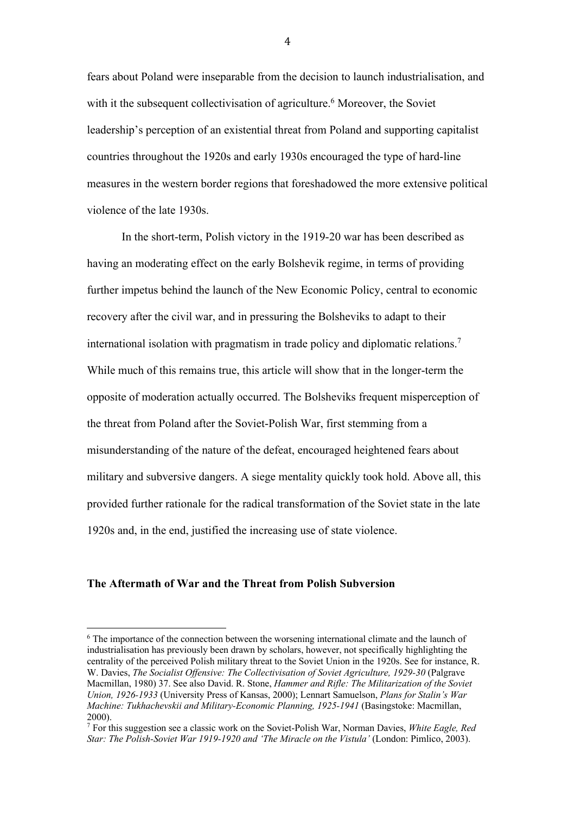fears about Poland were inseparable from the decision to launch industrialisation, and with it the subsequent collectivisation of agriculture.<sup>6</sup> Moreover, the Soviet leadership's perception of an existential threat from Poland and supporting capitalist countries throughout the 1920s and early 1930s encouraged the type of hard-line measures in the western border regions that foreshadowed the more extensive political violence of the late 1930s.

In the short-term, Polish victory in the 1919-20 war has been described as having an moderating effect on the early Bolshevik regime, in terms of providing further impetus behind the launch of the New Economic Policy, central to economic recovery after the civil war, and in pressuring the Bolsheviks to adapt to their international isolation with pragmatism in trade policy and diplomatic relations. 7 While much of this remains true, this article will show that in the longer-term the opposite of moderation actually occurred. The Bolsheviks frequent misperception of the threat from Poland after the Soviet-Polish War, first stemming from a misunderstanding of the nature of the defeat, encouraged heightened fears about military and subversive dangers. A siege mentality quickly took hold. Above all, this provided further rationale for the radical transformation of the Soviet state in the late 1920s and, in the end, justified the increasing use of state violence.

## **The Aftermath of War and the Threat from Polish Subversion**

 

<sup>6</sup> The importance of the connection between the worsening international climate and the launch of industrialisation has previously been drawn by scholars, however, not specifically highlighting the centrality of the perceived Polish military threat to the Soviet Union in the 1920s. See for instance, R. W. Davies, *The Socialist Offensive: The Collectivisation of Soviet Agriculture, 1929-30* (Palgrave Macmillan, 1980) 37. See also David. R. Stone, *Hammer and Rifle: The Militarization of the Soviet Union, 1926-1933* (University Press of Kansas, 2000); Lennart Samuelson, *Plans for Stalin's War Machine: Tukhachevskii and Military-Economic Planning, 1925-1941* (Basingstoke: Macmillan, 2000).

<sup>7</sup> For this suggestion see a classic work on the Soviet-Polish War, Norman Davies, *White Eagle, Red Star: The Polish-Soviet War 1919-1920 and 'The Miracle on the Vistula'* (London: Pimlico, 2003).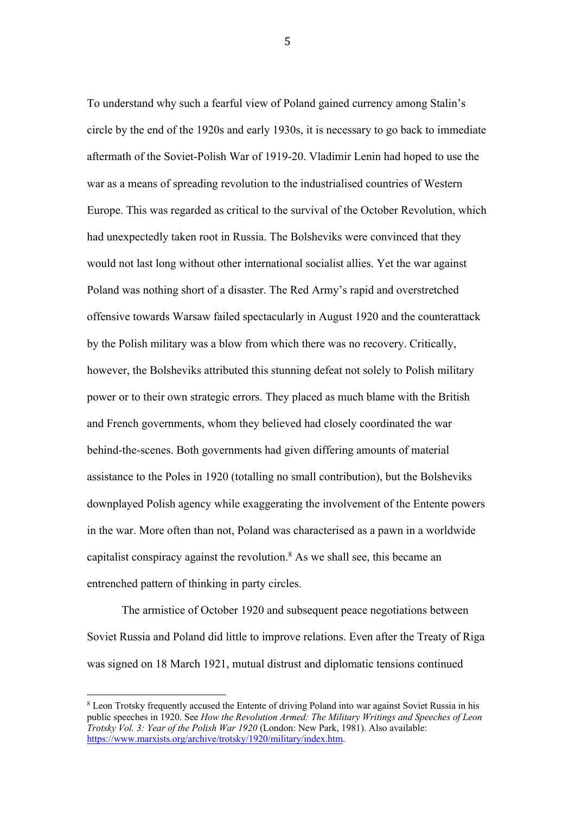To understand why such a fearful view of Poland gained currency among Stalin's circle by the end of the 1920s and early 1930s, it is necessary to go back to immediate aftermath of the Soviet-Polish War of 1919-20. Vladimir Lenin had hoped to use the war as a means of spreading revolution to the industrialised countries of Western Europe. This was regarded as critical to the survival of the October Revolution, which had unexpectedly taken root in Russia. The Bolsheviks were convinced that they would not last long without other international socialist allies. Yet the war against Poland was nothing short of a disaster. The Red Army's rapid and overstretched offensive towards Warsaw failed spectacularly in August 1920 and the counterattack by the Polish military was a blow from which there was no recovery. Critically, however, the Bolsheviks attributed this stunning defeat not solely to Polish military power or to their own strategic errors. They placed as much blame with the British and French governments, whom they believed had closely coordinated the war behind-the-scenes. Both governments had given differing amounts of material assistance to the Poles in 1920 (totalling no small contribution), but the Bolsheviks downplayed Polish agency while exaggerating the involvement of the Entente powers in the war. More often than not, Poland was characterised as a pawn in a worldwide capitalist conspiracy against the revolution. <sup>8</sup> As we shall see, this became an entrenched pattern of thinking in party circles.

The armistice of October 1920 and subsequent peace negotiations between Soviet Russia and Poland did little to improve relations. Even after the Treaty of Riga was signed on 18 March 1921, mutual distrust and diplomatic tensions continued

 

<sup>8</sup> Leon Trotsky frequently accused the Entente of driving Poland into war against Soviet Russia in his public speeches in 1920. See *How the Revolution Armed: The Military Writings and Speeches of Leon Trotsky Vol. 3: Year of the Polish War 1920* (London: New Park, 1981). Also available: https://www.marxists.org/archive/trotsky/1920/military/index.htm.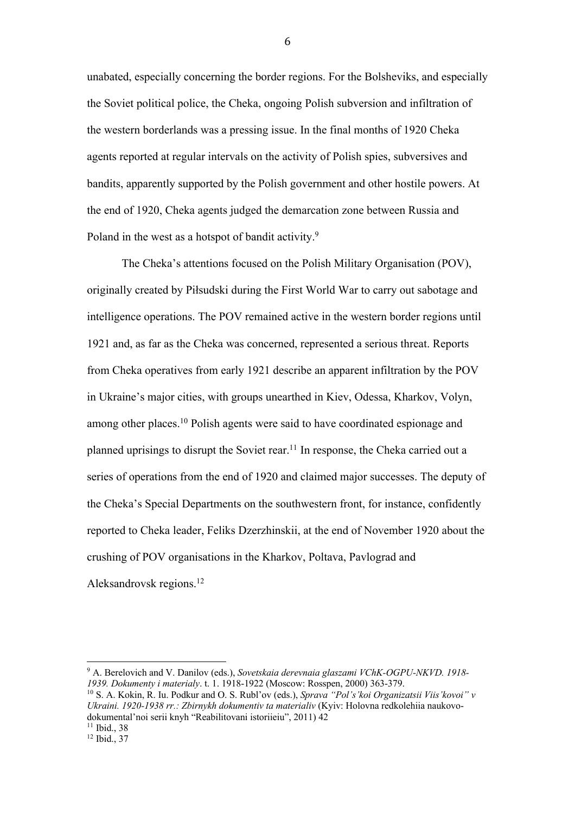unabated, especially concerning the border regions. For the Bolsheviks, and especially the Soviet political police, the Cheka, ongoing Polish subversion and infiltration of the western borderlands was a pressing issue. In the final months of 1920 Cheka agents reported at regular intervals on the activity of Polish spies, subversives and bandits, apparently supported by the Polish government and other hostile powers. At the end of 1920, Cheka agents judged the demarcation zone between Russia and Poland in the west as a hotspot of bandit activity.<sup>9</sup>

The Cheka's attentions focused on the Polish Military Organisation (POV), originally created by Piłsudski during the First World War to carry out sabotage and intelligence operations. The POV remained active in the western border regions until 1921 and, as far as the Cheka was concerned, represented a serious threat. Reports from Cheka operatives from early 1921 describe an apparent infiltration by the POV in Ukraine's major cities, with groups unearthed in Kiev, Odessa, Kharkov, Volyn, among other places.10 Polish agents were said to have coordinated espionage and planned uprisings to disrupt the Soviet rear.11 In response, the Cheka carried out a series of operations from the end of 1920 and claimed major successes. The deputy of the Cheka's Special Departments on the southwestern front, for instance, confidently reported to Cheka leader, Feliks Dzerzhinskii, at the end of November 1920 about the crushing of POV organisations in the Kharkov, Poltava, Pavlograd and Aleksandrovsk regions. 12

<sup>9</sup> A. Berelovich and V. Danilov (eds.), *Sovetskaia derevnaia glaszami VChK-OGPU-NKVD. 1918- 1939. Dokumenty i materialy*. t. 1. 1918-1922 (Moscow: Rosspen, 2000) 363-379.

<sup>10</sup> S. A. Kokin, R. Iu. Podkur and O. S. Rubl'ov (eds.), *Sprava "Pol's'koi Organizatsii Viis'kovoi" v Ukraini. 1920-1938 rr.: Zbirnykh dokumentiv ta materialiv* (Kyiv: Holovna redkolehiia naukovodokumental'noi serii knyh "Reabilitovani istoriieiu", 2011) 42

 

<sup>&</sup>lt;sup>11</sup> Ibid., 38

<sup>&</sup>lt;sup>12</sup> Ibid., 37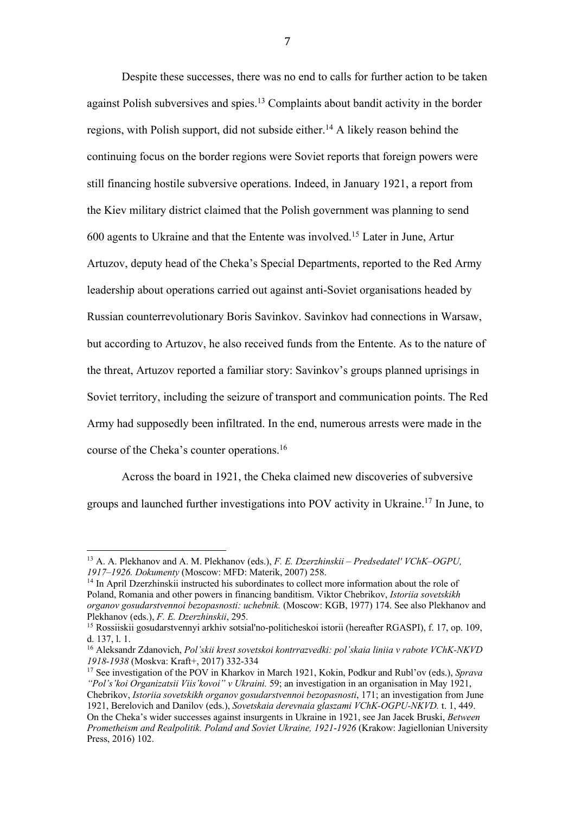Despite these successes, there was no end to calls for further action to be taken against Polish subversives and spies.<sup>13</sup> Complaints about bandit activity in the border regions, with Polish support, did not subside either.14 A likely reason behind the continuing focus on the border regions were Soviet reports that foreign powers were still financing hostile subversive operations. Indeed, in January 1921, a report from the Kiev military district claimed that the Polish government was planning to send 600 agents to Ukraine and that the Entente was involved. <sup>15</sup> Later in June, Artur Artuzov, deputy head of the Cheka's Special Departments, reported to the Red Army leadership about operations carried out against anti-Soviet organisations headed by Russian counterrevolutionary Boris Savinkov. Savinkov had connections in Warsaw, but according to Artuzov, he also received funds from the Entente. As to the nature of the threat, Artuzov reported a familiar story: Savinkov's groups planned uprisings in Soviet territory, including the seizure of transport and communication points. The Red Army had supposedly been infiltrated. In the end, numerous arrests were made in the course of the Cheka's counter operations. 16

Across the board in 1921, the Cheka claimed new discoveries of subversive groups and launched further investigations into POV activity in Ukraine. <sup>17</sup> In June, to

 

<sup>14</sup> In April Dzerzhinskii instructed his subordinates to collect more information about the role of Poland, Romania and other powers in financing banditism. Viktor Chebrikov, *Istoriia sovetskikh organov gosudarstvennoi bezopasnosti: uchebnik.* (Moscow: KGB, 1977) 174. See also Plekhanov and Plekhanov (eds.), *F. E. Dzerzhinskii*, 295.

<sup>17</sup> See investigation of the POV in Kharkov in March 1921, Kokin, Podkur and Rubl'ov (eds.), *Sprava "Pol's'koi Organizatsii Viis'kovoi" v Ukraini.* 59; an investigation in an organisation in May 1921, Chebrikov, *Istoriia sovetskikh organov gosudarstvennoi bezopasnosti*, 171; an investigation from June

1921, Berelovich and Danilov (eds.), *Sovetskaia derevnaia glaszami VChK-OGPU-NKVD.* t. 1, 449. On the Cheka's wider successes against insurgents in Ukraine in 1921, see Jan Jacek Bruski, *Between Prometheism and Realpolitik. Poland and Soviet Ukraine, 1921*-*1926* (Krakow: Jagiellonian University Press, 2016) 102.

<sup>13</sup> A. A. Plekhanov and A. M. Plekhanov (eds.), *F. E. Dzerzhinskii – Predsedatel' VChK–OGPU, 1917–1926. Dokumenty* (Moscow: MFD: Materik, 2007) 258.

<sup>15</sup> Rossiiskii gosudarstvennyi arkhiv sotsial'no-politicheskoi istorii (hereafter RGASPI), f. 17, op. 109, d. 137, l. 1.

<sup>16</sup> Aleksandr Zdanovich, *Pol'skii krest sovetskoi kontrrazvedki: pol'skaia liniia v rabote VChK-NKVD 1918-1938* (Moskva: Kraft+, 2017) 332-334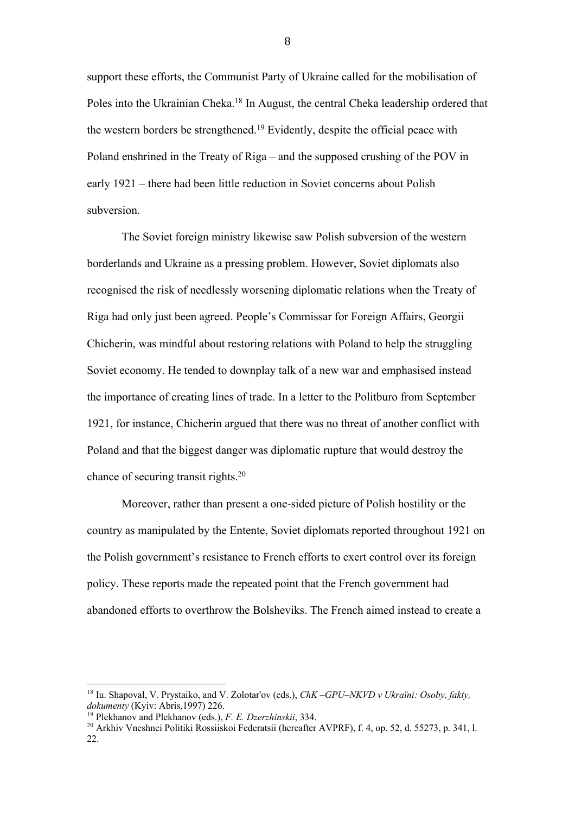support these efforts, the Communist Party of Ukraine called for the mobilisation of Poles into the Ukrainian Cheka.18 In August, the central Cheka leadership ordered that the western borders be strengthened. <sup>19</sup> Evidently, despite the official peace with Poland enshrined in the Treaty of Riga – and the supposed crushing of the POV in early 1921 – there had been little reduction in Soviet concerns about Polish subversion.

The Soviet foreign ministry likewise saw Polish subversion of the western borderlands and Ukraine as a pressing problem. However, Soviet diplomats also recognised the risk of needlessly worsening diplomatic relations when the Treaty of Riga had only just been agreed. People's Commissar for Foreign Affairs, Georgii Chicherin, was mindful about restoring relations with Poland to help the struggling Soviet economy. He tended to downplay talk of a new war and emphasised instead the importance of creating lines of trade. In a letter to the Politburo from September 1921, for instance, Chicherin argued that there was no threat of another conflict with Poland and that the biggest danger was diplomatic rupture that would destroy the chance of securing transit rights.20

Moreover, rather than present a one-sided picture of Polish hostility or the country as manipulated by the Entente, Soviet diplomats reported throughout 1921 on the Polish government's resistance to French efforts to exert control over its foreign policy. These reports made the repeated point that the French government had abandoned efforts to overthrow the Bolsheviks. The French aimed instead to create a

 

<sup>18</sup> Iu. Shapoval, V. Prystaiko, and V. Zolotar'ov (eds.), *ChK –GPU–NKVD v Ukraïni: Osoby, fakty, dokumenty* (Kyiv: Abris,1997) 226.

<sup>19</sup> Plekhanov and Plekhanov (eds.), *F. E. Dzerzhinskii*, 334.

<sup>20</sup> Arkhiv Vneshnei Politiki Rossiiskoi Federatsii (hereafter AVPRF), f. 4, op. 52, d. 55273, p. 341, l. 22.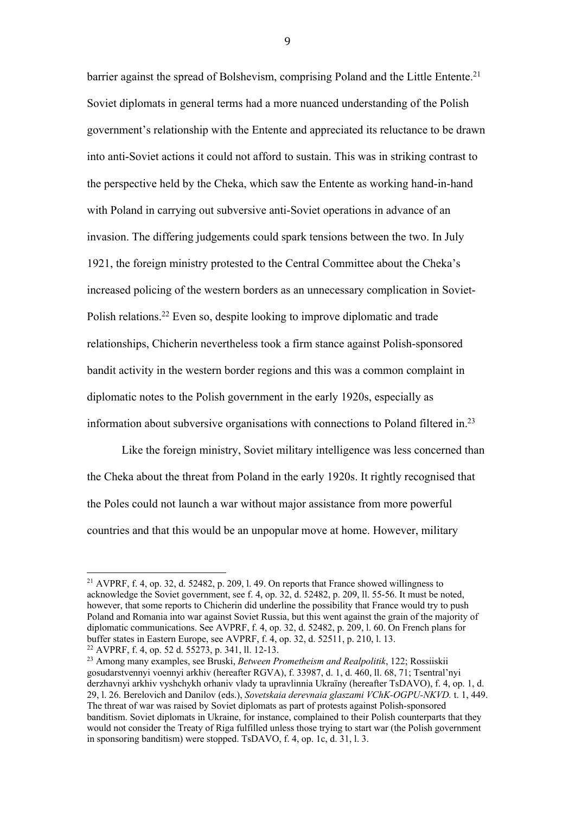barrier against the spread of Bolshevism, comprising Poland and the Little Entente.<sup>21</sup> Soviet diplomats in general terms had a more nuanced understanding of the Polish government's relationship with the Entente and appreciated its reluctance to be drawn into anti-Soviet actions it could not afford to sustain. This was in striking contrast to the perspective held by the Cheka, which saw the Entente as working hand-in-hand with Poland in carrying out subversive anti-Soviet operations in advance of an invasion. The differing judgements could spark tensions between the two. In July 1921, the foreign ministry protested to the Central Committee about the Cheka's increased policing of the western borders as an unnecessary complication in Soviet-Polish relations.22 Even so, despite looking to improve diplomatic and trade relationships, Chicherin nevertheless took a firm stance against Polish-sponsored bandit activity in the western border regions and this was a common complaint in diplomatic notes to the Polish government in the early 1920s, especially as information about subversive organisations with connections to Poland filtered in. 23

Like the foreign ministry, Soviet military intelligence was less concerned than the Cheka about the threat from Poland in the early 1920s. It rightly recognised that the Poles could not launch a war without major assistance from more powerful countries and that this would be an unpopular move at home. However, military

 

<sup>&</sup>lt;sup>21</sup> AVPRF, f. 4, op. 32, d. 52482, p. 209, l. 49. On reports that France showed willingness to acknowledge the Soviet government, see f. 4, op. 32, d. 52482, p. 209, ll. 55-56. It must be noted, however, that some reports to Chicherin did underline the possibility that France would try to push Poland and Romania into war against Soviet Russia, but this went against the grain of the majority of diplomatic communications. See AVPRF, f. 4, op. 32, d. 52482, p. 209, l. 60. On French plans for buffer states in Eastern Europe, see AVPRF, f. 4, op. 32, d. 52511, p. 210, l. 13. <sup>22</sup> AVPRF, f. 4, op. 52 d. 55273, p. 341, ll. 12-13.

<sup>23</sup> Among many examples, see Bruski, *Between Prometheism and Realpolitik*, 122; Rossiiskii gosudarstvennyi voennyi arkhiv (hereafter RGVA), f. 33987, d. 1, d. 460, ll. 68, 71; Tsentral'nyi derzhavnyi arkhiv vyshchykh orhaniv vlady ta upravlinnia Ukraïny (hereafter TsDAVO), f. 4, op. 1, d. 29, l. 26. Berelovich and Danilov (eds.), *Sovetskaia derevnaia glaszami VChK-OGPU-NKVD.* t. 1, 449. The threat of war was raised by Soviet diplomats as part of protests against Polish-sponsored banditism. Soviet diplomats in Ukraine, for instance, complained to their Polish counterparts that they would not consider the Treaty of Riga fulfilled unless those trying to start war (the Polish government in sponsoring banditism) were stopped. TsDAVO, f. 4, op. 1c, d. 31, l. 3.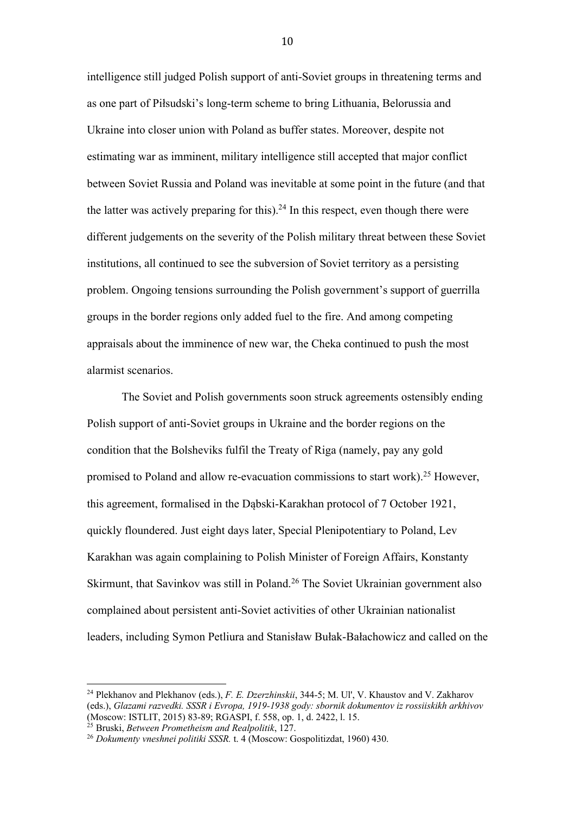intelligence still judged Polish support of anti-Soviet groups in threatening terms and as one part of Piłsudski's long-term scheme to bring Lithuania, Belorussia and Ukraine into closer union with Poland as buffer states. Moreover, despite not estimating war as imminent, military intelligence still accepted that major conflict between Soviet Russia and Poland was inevitable at some point in the future (and that the latter was actively preparing for this).<sup>24</sup> In this respect, even though there were different judgements on the severity of the Polish military threat between these Soviet institutions, all continued to see the subversion of Soviet territory as a persisting problem. Ongoing tensions surrounding the Polish government's support of guerrilla groups in the border regions only added fuel to the fire. And among competing appraisals about the imminence of new war, the Cheka continued to push the most alarmist scenarios.

The Soviet and Polish governments soon struck agreements ostensibly ending Polish support of anti-Soviet groups in Ukraine and the border regions on the condition that the Bolsheviks fulfil the Treaty of Riga (namely, pay any gold promised to Poland and allow re-evacuation commissions to start work).25 However, this agreement, formalised in the Dąbski-Karakhan protocol of 7 October 1921, quickly floundered. Just eight days later, Special Plenipotentiary to Poland, Lev Karakhan was again complaining to Polish Minister of Foreign Affairs, Konstanty Skirmunt, that Savinkov was still in Poland.<sup>26</sup> The Soviet Ukrainian government also complained about persistent anti-Soviet activities of other Ukrainian nationalist leaders, including Symon Petliura and Stanisław Bułak-Bałachowicz and called on the

 

<sup>24</sup> Plekhanov and Plekhanov (eds.), *F. E. Dzerzhinskii*, 344-5; M. Ul', V. Khaustov and V. Zakharov (eds.), *Glazami razvedki. SSSR i Evropa, 1919-1938 gody: sbornik dokumentov iz rossiiskikh arkhivov* (Moscow: ISTLIT, 2015) 83-89; RGASPI, f. 558, op. 1, d. 2422, l. 15.

<sup>25</sup> Bruski, *Between Prometheism and Realpolitik*, 127.

<sup>26</sup> *Dokumenty vneshnei politiki SSSR.* t. 4 (Moscow: Gospolitizdat, 1960) 430.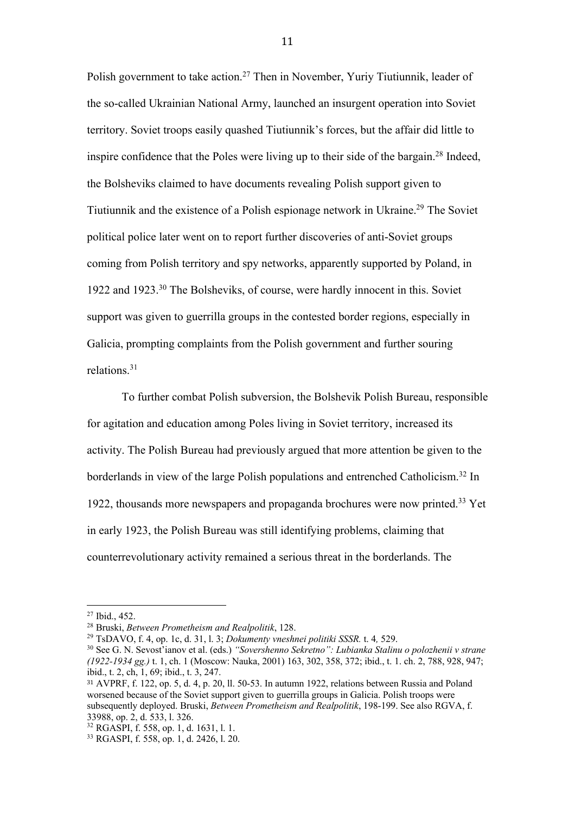Polish government to take action.<sup>27</sup> Then in November, Yuriy Tiutiunnik, leader of the so-called Ukrainian National Army, launched an insurgent operation into Soviet territory. Soviet troops easily quashed Tiutiunnik's forces, but the affair did little to inspire confidence that the Poles were living up to their side of the bargain.<sup>28</sup> Indeed, the Bolsheviks claimed to have documents revealing Polish support given to Tiutiunnik and the existence of a Polish espionage network in Ukraine.<sup>29</sup> The Soviet political police later went on to report further discoveries of anti-Soviet groups coming from Polish territory and spy networks, apparently supported by Poland, in 1922 and 1923. <sup>30</sup> The Bolsheviks, of course, were hardly innocent in this. Soviet support was given to guerrilla groups in the contested border regions, especially in Galicia, prompting complaints from the Polish government and further souring relations. 31

To further combat Polish subversion, the Bolshevik Polish Bureau, responsible for agitation and education among Poles living in Soviet territory, increased its activity. The Polish Bureau had previously argued that more attention be given to the borderlands in view of the large Polish populations and entrenched Catholicism.32 In 1922, thousands more newspapers and propaganda brochures were now printed.33 Yet in early 1923, the Polish Bureau was still identifying problems, claiming that counterrevolutionary activity remained a serious threat in the borderlands. The

 

<sup>27</sup> Ibid., 452.

<sup>28</sup> Bruski, *Between Prometheism and Realpolitik*, 128.

<sup>29</sup> TsDAVO, f. 4, op. 1c, d. 31, l. 3; *Dokumenty vneshnei politiki SSSR.* t. 4*,* 529.

<sup>30</sup> See G. N. Sevost'ianov et al. (eds.) *"Sovershenno Sekretno": Lubianka Stalinu o polozhenii v strane (1922-1934 gg.)* t. 1, ch. 1 (Moscow: Nauka, 2001) 163, 302, 358, 372; ibid., t. 1. ch. 2, 788, 928, 947; ibid., t. 2, ch, 1, 69; ibid., t. 3, 247.

<sup>31</sup> AVPRF, f. 122, op. 5, d. 4, p. 20, ll. 50-53. In autumn 1922, relations between Russia and Poland worsened because of the Soviet support given to guerrilla groups in Galicia. Polish troops were subsequently deployed. Bruski, *Between Prometheism and Realpolitik*, 198-199. See also RGVA, f. 33988, op. 2, d. 533, l. 326.<br><sup>32</sup> RGASPI, f. 558, op. 1, d. 1631, l. 1.

<sup>&</sup>lt;sup>33</sup> RGASPI, f. 558, op. 1, d. 2426, l. 20.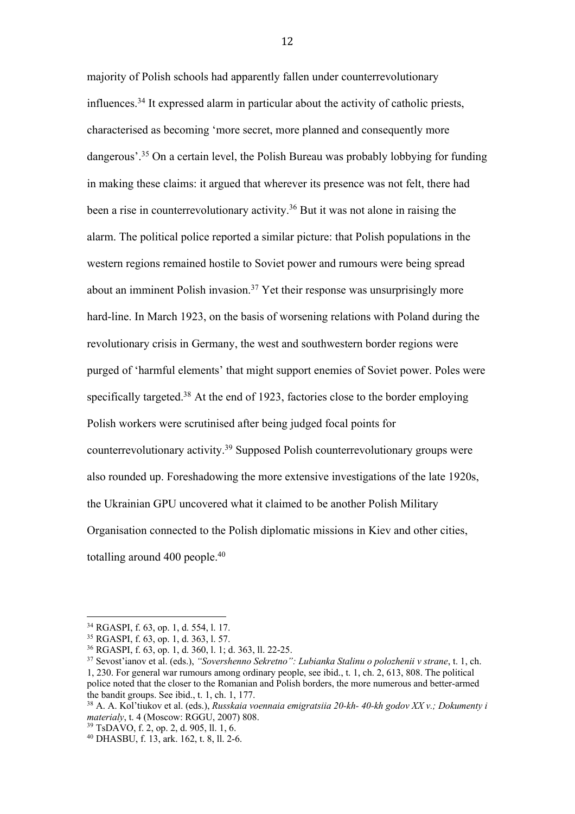majority of Polish schools had apparently fallen under counterrevolutionary influences. <sup>34</sup> It expressed alarm in particular about the activity of catholic priests, characterised as becoming 'more secret, more planned and consequently more dangerous'.<sup>35</sup> On a certain level, the Polish Bureau was probably lobbying for funding in making these claims: it argued that wherever its presence was not felt, there had been a rise in counterrevolutionary activity.<sup>36</sup> But it was not alone in raising the alarm. The political police reported a similar picture: that Polish populations in the western regions remained hostile to Soviet power and rumours were being spread about an imminent Polish invasion.37 Yet their response was unsurprisingly more hard-line. In March 1923, on the basis of worsening relations with Poland during the revolutionary crisis in Germany, the west and southwestern border regions were purged of 'harmful elements' that might support enemies of Soviet power. Poles were specifically targeted.<sup>38</sup> At the end of 1923, factories close to the border employing Polish workers were scrutinised after being judged focal points for counterrevolutionary activity.39 Supposed Polish counterrevolutionary groups were also rounded up. Foreshadowing the more extensive investigations of the late 1920s, the Ukrainian GPU uncovered what it claimed to be another Polish Military Organisation connected to the Polish diplomatic missions in Kiev and other cities, totalling around 400 people.<sup>40</sup>

 <sup>34</sup> RGASPI, f. 63, op. 1, d. 554, l. 17.

<sup>35</sup> RGASPI, f. 63, op. 1, d. 363, l. 57.

<sup>36</sup> RGASPI, f. 63, op. 1, d. 360, l. 1; d. 363, ll. 22-25.

<sup>37</sup> Sevost'ianov et al. (eds.), *"Sovershenno Sekretno": Lubianka Stalinu o polozhenii v strane*, t. 1, ch. 1, 230. For general war rumours among ordinary people, see ibid., t. 1, ch. 2, 613, 808. The political police noted that the closer to the Romanian and Polish borders, the more numerous and better-armed the bandit groups. See ibid., t. 1, ch. 1, 177.

<sup>38</sup> A. A. Kol'tiukov et al. (eds.), *Russkaia voennaia emigratsiia 20-kh- 40-kh godov XX v.; Dokumenty i materialy*, t. 4 (Moscow: RGGU, 2007) 808.

<sup>39</sup> TsDAVO, f. 2, op. 2, d. 905, ll. 1, 6.

<sup>40</sup> DHASBU, f. 13, ark. 162, t. 8, ll. 2-6.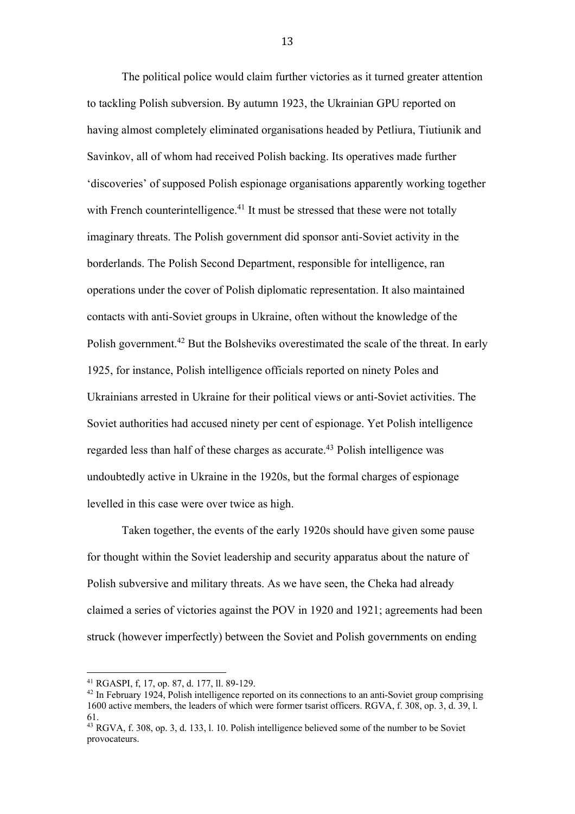The political police would claim further victories as it turned greater attention to tackling Polish subversion. By autumn 1923, the Ukrainian GPU reported on having almost completely eliminated organisations headed by Petliura, Tiutiunik and Savinkov, all of whom had received Polish backing. Its operatives made further 'discoveries' of supposed Polish espionage organisations apparently working together with French counterintelligence.<sup>41</sup> It must be stressed that these were not totally imaginary threats. The Polish government did sponsor anti-Soviet activity in the borderlands. The Polish Second Department, responsible for intelligence, ran operations under the cover of Polish diplomatic representation. It also maintained contacts with anti-Soviet groups in Ukraine, often without the knowledge of the Polish government.<sup>42</sup> But the Bolsheviks overestimated the scale of the threat. In early 1925, for instance, Polish intelligence officials reported on ninety Poles and Ukrainians arrested in Ukraine for their political views or anti-Soviet activities. The Soviet authorities had accused ninety per cent of espionage. Yet Polish intelligence regarded less than half of these charges as accurate.<sup>43</sup> Polish intelligence was undoubtedly active in Ukraine in the 1920s, but the formal charges of espionage levelled in this case were over twice as high.

Taken together, the events of the early 1920s should have given some pause for thought within the Soviet leadership and security apparatus about the nature of Polish subversive and military threats. As we have seen, the Cheka had already claimed a series of victories against the POV in 1920 and 1921; agreements had been struck (however imperfectly) between the Soviet and Polish governments on ending

 

<sup>41</sup> RGASPI, f, 17, op. 87, d. 177, ll. 89-129.

<sup>42</sup> In February 1924, Polish intelligence reported on its connections to an anti-Soviet group comprising 1600 active members, the leaders of which were former tsarist officers. RGVA, f. 308, op. 3, d. 39, l. 61.

<sup>43</sup> RGVA, f. 308, op. 3, d. 133, l. 10. Polish intelligence believed some of the number to be Soviet provocateurs.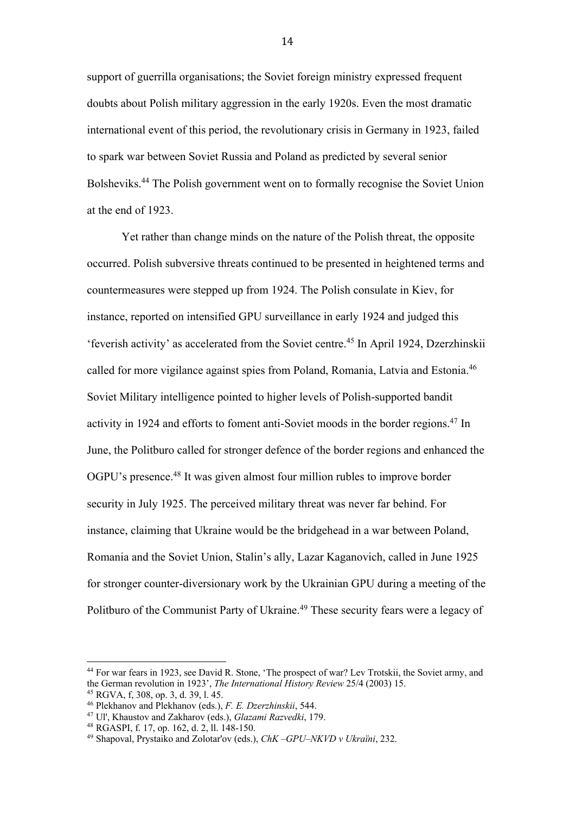support of guerrilla organisations; the Soviet foreign ministry expressed frequent doubts about Polish military aggression in the early 1920s. Even the most dramatic international event of this period, the revolutionary crisis in Germany in 1923, failed to spark war between Soviet Russia and Poland as predicted by several senior Bolsheviks.44 The Polish government went on to formally recognise the Soviet Union at the end of 1923.

Yet rather than change minds on the nature of the Polish threat, the opposite occurred. Polish subversive threats continued to be presented in heightened terms and countermeasures were stepped up from 1924. The Polish consulate in Kiev, for instance, reported on intensified GPU surveillance in early 1924 and judged this 'feverish activity' as accelerated from the Soviet centre. <sup>45</sup> In April 1924, Dzerzhinskii called for more vigilance against spies from Poland, Romania, Latvia and Estonia.46 Soviet Military intelligence pointed to higher levels of Polish-supported bandit activity in 1924 and efforts to foment anti-Soviet moods in the border regions. <sup>47</sup> In June, the Politburo called for stronger defence of the border regions and enhanced the OGPU's presence.48 It was given almost four million rubles to improve border security in July 1925. The perceived military threat was never far behind. For instance, claiming that Ukraine would be the bridgehead in a war between Poland, Romania and the Soviet Union, Stalin's ally, Lazar Kaganovich, called in June 1925 for stronger counter-diversionary work by the Ukrainian GPU during a meeting of the Politburo of the Communist Party of Ukraine.<sup>49</sup> These security fears were a legacy of

<sup>44</sup> For war fears in 1923, see David R. Stone, 'The prospect of war? Lev Trotskii, the Soviet army, and the German revolution in 1923', *The International History Review* 25/4 (2003) 15. 45 RGVA, f, 308, op. 3, d. 39, l. 45.

<sup>46</sup> Plekhanov and Plekhanov (eds.), *F. E. Dzerzhinskii*, 544.

<sup>47</sup> Ul', Khaustov and Zakharov (eds.), *Glazami Razvedki*, 179.

<sup>48</sup> RGASPI, f. 17, op. 162, d. 2, ll. 148-150.

<sup>49</sup> Shapoval, Prystaiko and Zolotar'ov (eds.), *ChK –GPU–NKVD v Ukraïni*, 232.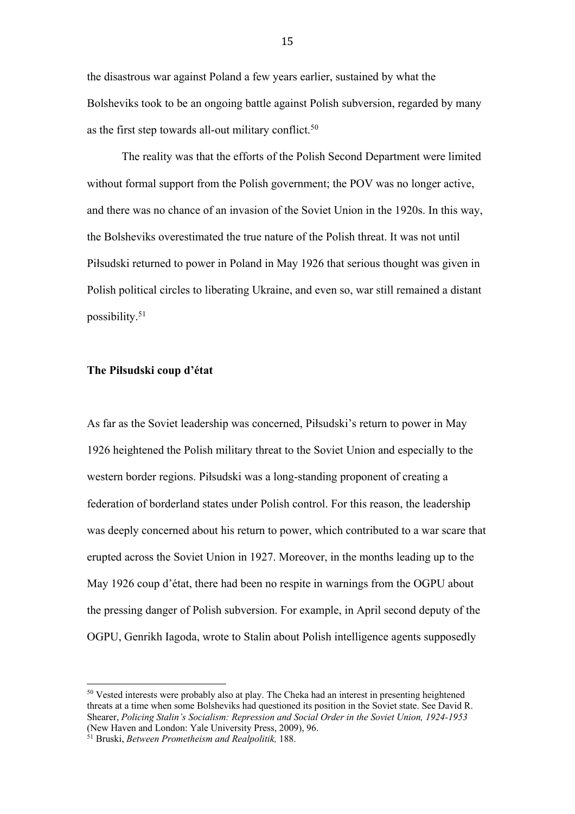the disastrous war against Poland a few years earlier, sustained by what the Bolsheviks took to be an ongoing battle against Polish subversion, regarded by many as the first step towards all-out military conflict.<sup>50</sup>

The reality was that the efforts of the Polish Second Department were limited without formal support from the Polish government; the POV was no longer active, and there was no chance of an invasion of the Soviet Union in the 1920s. In this way, the Bolsheviks overestimated the true nature of the Polish threat. It was not until Piłsudski returned to power in Poland in May 1926 that serious thought was given in Polish political circles to liberating Ukraine, and even so, war still remained a distant possibility. 51

### **The Piłsudski coup d'état**

As far as the Soviet leadership was concerned, Piłsudski's return to power in May 1926 heightened the Polish military threat to the Soviet Union and especially to the western border regions. Piłsudski was a long-standing proponent of creating a federation of borderland states under Polish control. For this reason, the leadership was deeply concerned about his return to power, which contributed to a war scare that erupted across the Soviet Union in 1927. Moreover, in the months leading up to the May 1926 coup d'état, there had been no respite in warnings from the OGPU about the pressing danger of Polish subversion. For example, in April second deputy of the OGPU, Genrikh Iagoda, wrote to Stalin about Polish intelligence agents supposedly

<sup>&</sup>lt;sup>50</sup> Vested interests were probably also at play. The Cheka had an interest in presenting heightened threats at a time when some Bolsheviks had questioned its position in the Soviet state. See David R. Shearer, *Policing Stalin's Socialism: Repression and Social Order in the Soviet Union, 1924-1953*  (New Haven and London: Yale University Press, 2009), 96.

<sup>51</sup> Bruski, *Between Prometheism and Realpolitik,* 188.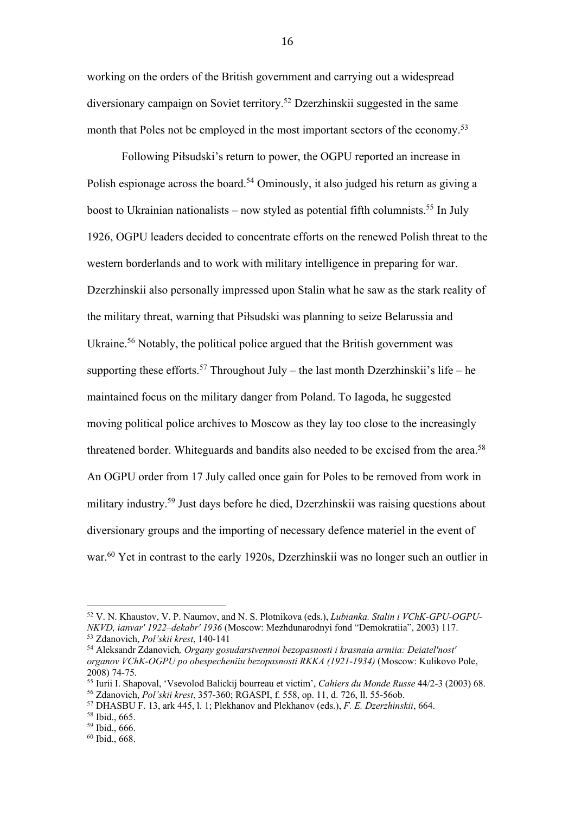working on the orders of the British government and carrying out a widespread diversionary campaign on Soviet territory.52 Dzerzhinskii suggested in the same month that Poles not be employed in the most important sectors of the economy.<sup>53</sup>

Following Piłsudski's return to power, the OGPU reported an increase in Polish espionage across the board.<sup>54</sup> Ominously, it also judged his return as giving a boost to Ukrainian nationalists – now styled as potential fifth columnists.<sup>55</sup> In July 1926, OGPU leaders decided to concentrate efforts on the renewed Polish threat to the western borderlands and to work with military intelligence in preparing for war. Dzerzhinskii also personally impressed upon Stalin what he saw as the stark reality of the military threat, warning that Piłsudski was planning to seize Belarussia and Ukraine.<sup>56</sup> Notably, the political police argued that the British government was supporting these efforts.<sup>57</sup> Throughout July – the last month Dzerzhinskii's life – he maintained focus on the military danger from Poland. To Iagoda, he suggested moving political police archives to Moscow as they lay too close to the increasingly threatened border. Whiteguards and bandits also needed to be excised from the area.<sup>58</sup> An OGPU order from 17 July called once gain for Poles to be removed from work in military industry.59 Just days before he died, Dzerzhinskii was raising questions about diversionary groups and the importing of necessary defence materiel in the event of war.<sup>60</sup> Yet in contrast to the early 1920s, Dzerzhinskii was no longer such an outlier in

 

<sup>52</sup> V. N. Khaustov, V. P. Naumov, and N. S. Plotnikova (eds.), *Lubianka. Stalin i VChK-GPU-OGPU-NKVD, ianvar' 1922–dekabr' 1936* (Moscow: Mezhdunarodnyi fond "Demokratiia", 2003) 117.

<sup>53</sup> Zdanovich, *Pol'skii krest*, 140-141

<sup>54</sup> Aleksandr Zdanovich*, Organy gosudarstvennoi bezopasnosti i krasnaia armiia: Deiatel'nost' organov VChK-OGPU po obespecheniiu bezopasnosti RKKA (1921-1934)* (Moscow: Kulikovo Pole, 2008) 74-75.

<sup>55</sup> Iurii I. Shapoval, 'Vsevolod Balickij bourreau et victim', *Cahiers du Monde Russe* 44/2-3 (2003) 68.

<sup>&</sup>lt;sup>57</sup> DHASBU F. 13, ark 445, l. 1; Plekhanov and Plekhanov (eds.), *F. E. Dzerzhinskii*, 664.

<sup>58</sup> Ibid., 665.

<sup>59</sup> Ibid., 666.

<sup>60</sup> Ibid., 668.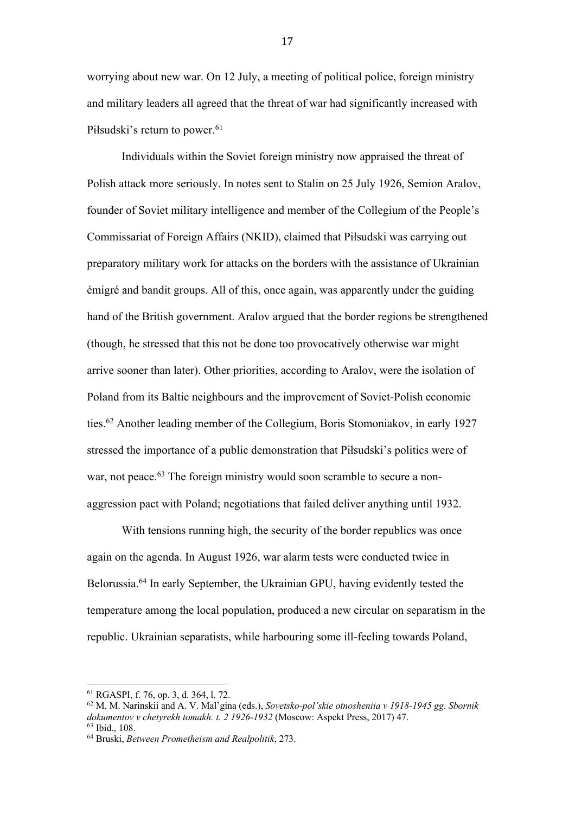worrying about new war. On 12 July, a meeting of political police, foreign ministry and military leaders all agreed that the threat of war had significantly increased with Piłsudski's return to power.<sup>61</sup>

Individuals within the Soviet foreign ministry now appraised the threat of Polish attack more seriously. In notes sent to Stalin on 25 July 1926, Semion Aralov, founder of Soviet military intelligence and member of the Collegium of the People's Commissariat of Foreign Affairs (NKID), claimed that Piłsudski was carrying out preparatory military work for attacks on the borders with the assistance of Ukrainian émigré and bandit groups. All of this, once again, was apparently under the guiding hand of the British government. Aralov argued that the border regions be strengthened (though, he stressed that this not be done too provocatively otherwise war might arrive sooner than later). Other priorities, according to Aralov, were the isolation of Poland from its Baltic neighbours and the improvement of Soviet-Polish economic ties.62 Another leading member of the Collegium, Boris Stomoniakov, in early 1927 stressed the importance of a public demonstration that Piłsudski's politics were of war, not peace.<sup>63</sup> The foreign ministry would soon scramble to secure a nonaggression pact with Poland; negotiations that failed deliver anything until 1932.

With tensions running high, the security of the border republics was once again on the agenda. In August 1926, war alarm tests were conducted twice in Belorussia. <sup>64</sup> In early September, the Ukrainian GPU, having evidently tested the temperature among the local population, produced a new circular on separatism in the republic. Ukrainian separatists, while harbouring some ill-feeling towards Poland,

 <sup>61</sup> RGASPI, f. 76, op. 3, d. 364, l. 72.

<sup>62</sup> M. M. Narinskii and A. V. Mal'gina (eds.), *Sovetsko-pol'skie otnosheniia v 1918-1945 gg. Sbornik dokumentov v chetyrekh tomakh. t. 2 1926-1932* (Moscow: Aspekt Press, 2017) 47. <sup>63</sup> Ibid., 108.

<sup>64</sup> Bruski, *Between Prometheism and Realpolitik*, 273.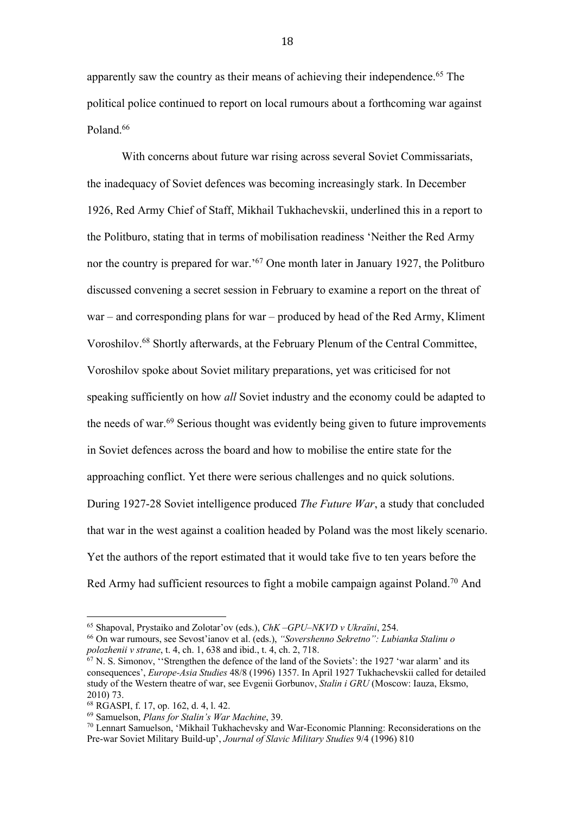apparently saw the country as their means of achieving their independence. <sup>65</sup> The political police continued to report on local rumours about a forthcoming war against Poland.<sup>66</sup>

With concerns about future war rising across several Soviet Commissariats, the inadequacy of Soviet defences was becoming increasingly stark. In December 1926, Red Army Chief of Staff, Mikhail Tukhachevskii, underlined this in a report to the Politburo, stating that in terms of mobilisation readiness 'Neither the Red Army nor the country is prepared for war.'67 One month later in January 1927, the Politburo discussed convening a secret session in February to examine a report on the threat of war – and corresponding plans for war – produced by head of the Red Army, Kliment Voroshilov.68 Shortly afterwards, at the February Plenum of the Central Committee, Voroshilov spoke about Soviet military preparations, yet was criticised for not speaking sufficiently on how *all* Soviet industry and the economy could be adapted to the needs of war.<sup>69</sup> Serious thought was evidently being given to future improvements in Soviet defences across the board and how to mobilise the entire state for the approaching conflict. Yet there were serious challenges and no quick solutions. During 1927-28 Soviet intelligence produced *The Future War*, a study that concluded that war in the west against a coalition headed by Poland was the most likely scenario. Yet the authors of the report estimated that it would take five to ten years before the Red Army had sufficient resources to fight a mobile campaign against Poland.<sup>70</sup> And

<sup>65</sup> Shapoval, Prystaiko and Zolotar'ov (eds.), *ChK –GPU–NKVD v Ukraïni*, 254.

<sup>66</sup> On war rumours, see Sevost'ianov et al. (eds.), *"Sovershenno Sekretno": Lubianka Stalinu o polozhenii v strane*, t. 4, ch. 1, 638 and ibid., t. 4, ch. 2, 718.

 $^{67}$  N. S. Simonov, "Strengthen the defence of the land of the Soviets': the 1927 'war alarm' and its consequences', *Europe-Asia Studies* 48/8 (1996) 1357. In April 1927 Tukhachevskii called for detailed study of the Western theatre of war, see Evgenii Gorbunov, *Stalin i GRU* (Moscow: Iauza, Eksmo, 2010) 73.

<sup>68</sup> RGASPI, f. 17, op. 162, d. 4, l. 42.

<sup>69</sup> Samuelson, *Plans for Stalin's War Machine*, 39.

<sup>70</sup> Lennart Samuelson, 'Mikhail Tukhachevsky and War-Economic Planning: Reconsiderations on the Pre-war Soviet Military Build-up', *Journal of Slavic Military Studies* 9/4 (1996) 810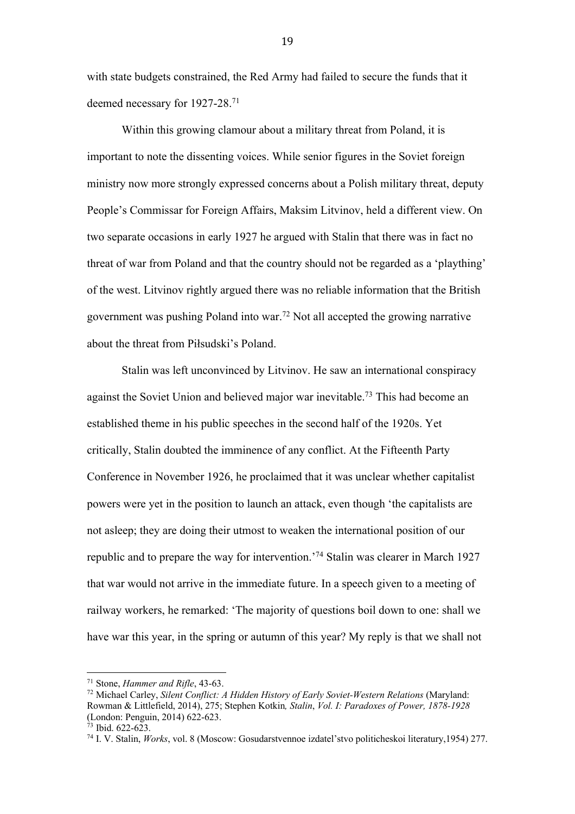with state budgets constrained, the Red Army had failed to secure the funds that it deemed necessary for 1927-28. 71

Within this growing clamour about a military threat from Poland, it is important to note the dissenting voices. While senior figures in the Soviet foreign ministry now more strongly expressed concerns about a Polish military threat, deputy People's Commissar for Foreign Affairs, Maksim Litvinov, held a different view. On two separate occasions in early 1927 he argued with Stalin that there was in fact no threat of war from Poland and that the country should not be regarded as a 'plaything' of the west. Litvinov rightly argued there was no reliable information that the British government was pushing Poland into war.<sup>72</sup> Not all accepted the growing narrative about the threat from Piłsudski's Poland.

Stalin was left unconvinced by Litvinov. He saw an international conspiracy against the Soviet Union and believed major war inevitable.<sup>73</sup> This had become an established theme in his public speeches in the second half of the 1920s. Yet critically, Stalin doubted the imminence of any conflict. At the Fifteenth Party Conference in November 1926, he proclaimed that it was unclear whether capitalist powers were yet in the position to launch an attack, even though 'the capitalists are not asleep; they are doing their utmost to weaken the international position of our republic and to prepare the way for intervention.'74 Stalin was clearer in March 1927 that war would not arrive in the immediate future. In a speech given to a meeting of railway workers, he remarked: 'The majority of questions boil down to one: shall we have war this year, in the spring or autumn of this year? My reply is that we shall not

 <sup>71</sup> Stone, *Hammer and Rifle*, 43-63.

<sup>72</sup> Michael Carley, *Silent Conflict: A Hidden History of Early Soviet-Western Relations* (Maryland: Rowman & Littlefield, 2014), 275; Stephen Kotkin*, Stalin*, *Vol. I: Paradoxes of Power, 1878-1928* (London: Penguin, 2014) 622-623.

 $73$  Ibid. 622-623.

<sup>74</sup> I. V. Stalin, *Works*, vol. 8 (Moscow: Gosudarstvennoe izdatel'stvo politicheskoi literatury,1954) 277.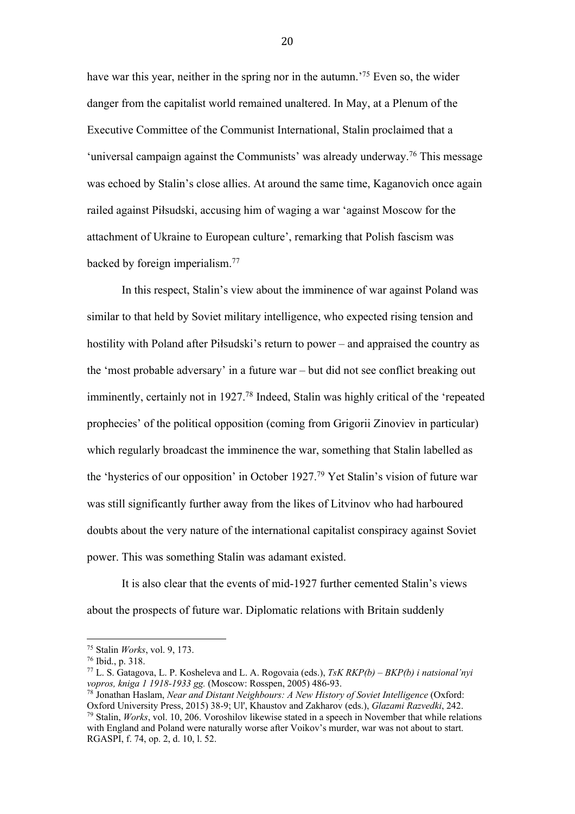have war this year, neither in the spring nor in the autumn.<sup>75</sup> Even so, the wider danger from the capitalist world remained unaltered. In May, at a Plenum of the Executive Committee of the Communist International, Stalin proclaimed that a 'universal campaign against the Communists' was already underway.<sup>76</sup> This message was echoed by Stalin's close allies. At around the same time, Kaganovich once again railed against Piłsudski, accusing him of waging a war 'against Moscow for the attachment of Ukraine to European culture', remarking that Polish fascism was backed by foreign imperialism.77

In this respect, Stalin's view about the imminence of war against Poland was similar to that held by Soviet military intelligence, who expected rising tension and hostility with Poland after Piłsudski's return to power – and appraised the country as the 'most probable adversary' in a future war – but did not see conflict breaking out imminently, certainly not in 1927.<sup>78</sup> Indeed, Stalin was highly critical of the 'repeated prophecies' of the political opposition (coming from Grigorii Zinoviev in particular) which regularly broadcast the imminence the war, something that Stalin labelled as the 'hysterics of our opposition' in October 1927. <sup>79</sup> Yet Stalin's vision of future war was still significantly further away from the likes of Litvinov who had harboured doubts about the very nature of the international capitalist conspiracy against Soviet power. This was something Stalin was adamant existed.

It is also clear that the events of mid-1927 further cemented Stalin's views about the prospects of future war. Diplomatic relations with Britain suddenly

 

<sup>75</sup> Stalin *Works*, vol. 9, 173.

<sup>76</sup> Ibid., p. 318.

<sup>77</sup> L. S. Gatagova, L. P. Kosheleva and L. A. Rogovaia (eds.), *TsK RKP(b) – BKP(b) i natsional'nyi vopros, kniga 1 1918-1933 gg.* (Moscow: Rosspen, 2005) 486-93.

<sup>78</sup> Jonathan Haslam, *Near and Distant Neighbours: A New History of Soviet Intelligence* (Oxford: Oxford University Press, 2015) 38-9; Ul', Khaustov and Zakharov (eds.), *Glazami Razvedki*, 242.

<sup>79</sup> Stalin, *Works*, vol. 10, 206. Voroshilov likewise stated in a speech in November that while relations with England and Poland were naturally worse after Voikov's murder, war was not about to start. RGASPI, f. 74, op. 2, d. 10, l. 52.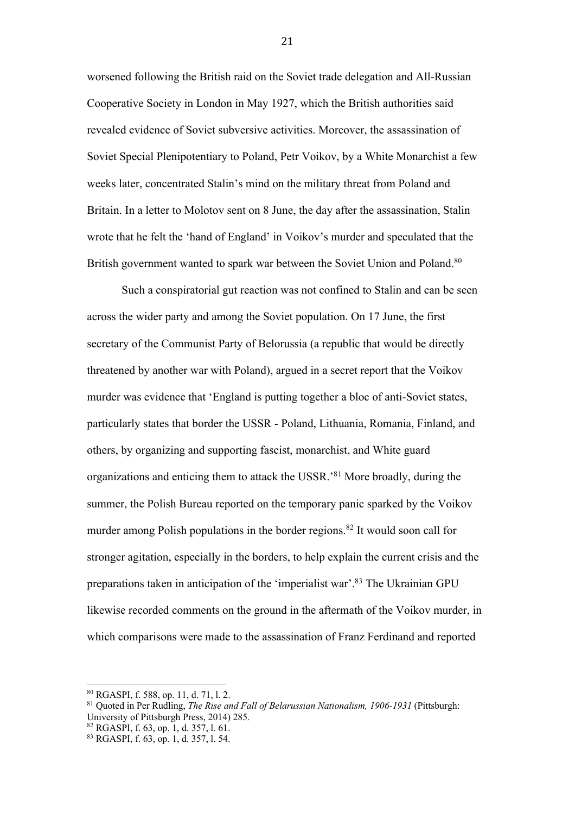worsened following the British raid on the Soviet trade delegation and All-Russian Cooperative Society in London in May 1927, which the British authorities said revealed evidence of Soviet subversive activities. Moreover, the assassination of Soviet Special Plenipotentiary to Poland, Petr Voikov, by a White Monarchist a few weeks later, concentrated Stalin's mind on the military threat from Poland and Britain. In a letter to Molotov sent on 8 June, the day after the assassination, Stalin wrote that he felt the 'hand of England' in Voikov's murder and speculated that the British government wanted to spark war between the Soviet Union and Poland.<sup>80</sup>

Such a conspiratorial gut reaction was not confined to Stalin and can be seen across the wider party and among the Soviet population. On 17 June, the first secretary of the Communist Party of Belorussia (a republic that would be directly threatened by another war with Poland), argued in a secret report that the Voikov murder was evidence that 'England is putting together a bloc of anti-Soviet states, particularly states that border the USSR - Poland, Lithuania, Romania, Finland, and others, by organizing and supporting fascist, monarchist, and White guard organizations and enticing them to attack the USSR.'81 More broadly, during the summer, the Polish Bureau reported on the temporary panic sparked by the Voikov murder among Polish populations in the border regions.<sup>82</sup> It would soon call for stronger agitation, especially in the borders, to help explain the current crisis and the preparations taken in anticipation of the 'imperialist war'.83 The Ukrainian GPU likewise recorded comments on the ground in the aftermath of the Voikov murder, in which comparisons were made to the assassination of Franz Ferdinand and reported

 <sup>80</sup> RGASPI, f. 588, op. 11, d. 71, l. 2.

<sup>81</sup> Quoted in Per Rudling, *The Rise and Fall of Belarussian Nationalism, 1906-1931* (Pittsburgh: University of Pittsburgh Press, 2014) 285.

<sup>82</sup> RGASPI, f. 63, op. 1, d. 357, l. 61.

<sup>83</sup> RGASPI, f. 63, op. 1, d. 357, l. 54.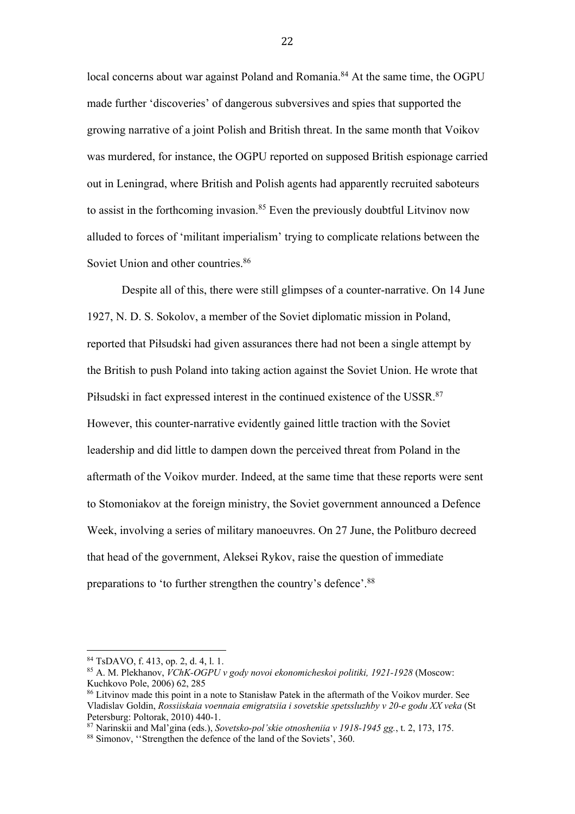local concerns about war against Poland and Romania.<sup>84</sup> At the same time, the OGPU made further 'discoveries' of dangerous subversives and spies that supported the growing narrative of a joint Polish and British threat. In the same month that Voikov was murdered, for instance, the OGPU reported on supposed British espionage carried out in Leningrad, where British and Polish agents had apparently recruited saboteurs to assist in the forthcoming invasion.<sup>85</sup> Even the previously doubtful Litvinov now alluded to forces of 'militant imperialism' trying to complicate relations between the Soviet Union and other countries. 86

Despite all of this, there were still glimpses of a counter-narrative. On 14 June 1927, N. D. S. Sokolov, a member of the Soviet diplomatic mission in Poland, reported that Piłsudski had given assurances there had not been a single attempt by the British to push Poland into taking action against the Soviet Union. He wrote that Piłsudski in fact expressed interest in the continued existence of the USSR.<sup>87</sup> However, this counter-narrative evidently gained little traction with the Soviet leadership and did little to dampen down the perceived threat from Poland in the aftermath of the Voikov murder. Indeed, at the same time that these reports were sent to Stomoniakov at the foreign ministry, the Soviet government announced a Defence Week, involving a series of military manoeuvres. On 27 June, the Politburo decreed that head of the government, Aleksei Rykov, raise the question of immediate preparations to 'to further strengthen the country's defence'.88

 <sup>84</sup> TsDAVO, f. 413, op. 2, d. 4, l. 1.

<sup>85</sup> A. M. Plekhanov, *VChK-OGPU v gody novoi ekonomicheskoi politiki, 1921-1928* (Moscow: Kuchkovo Pole, 2006) 62, 285

<sup>86</sup> Litvinov made this point in a note to Stanisław Patek in the aftermath of the Voikov murder. See Vladislav Goldin, *Rossiiskaia voennaia emigratsiia i sovetskie spetssluzhby v 20-e godu XX veka* (St Petersburg: Poltorak, 2010) 440-1.

<sup>87</sup> Narinskii and Mal'gina (eds.), *Sovetsko-pol'skie otnosheniia v 1918-1945 gg.*, t. 2, 173, 175.

<sup>88</sup> Simonov, ''Strengthen the defence of the land of the Soviets', 360.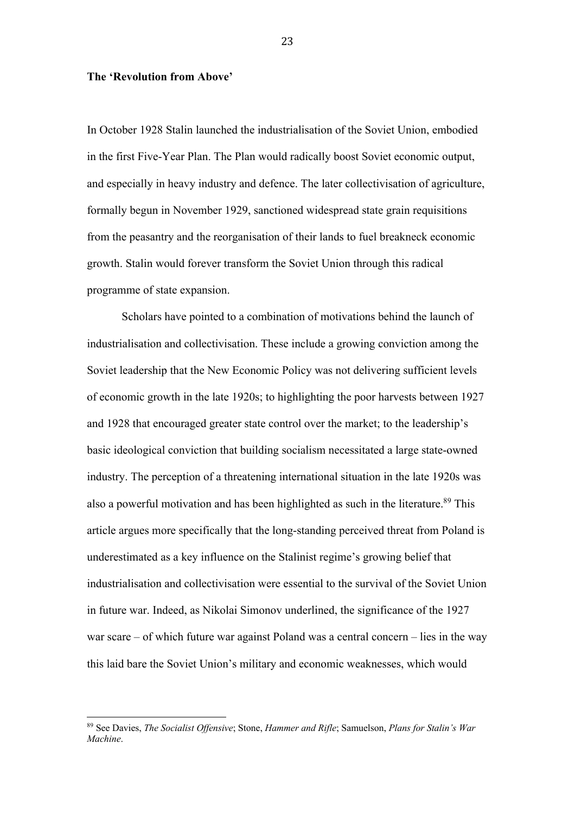#### **The 'Revolution from Above'**

In October 1928 Stalin launched the industrialisation of the Soviet Union, embodied in the first Five-Year Plan. The Plan would radically boost Soviet economic output, and especially in heavy industry and defence. The later collectivisation of agriculture, formally begun in November 1929, sanctioned widespread state grain requisitions from the peasantry and the reorganisation of their lands to fuel breakneck economic growth. Stalin would forever transform the Soviet Union through this radical programme of state expansion.

Scholars have pointed to a combination of motivations behind the launch of industrialisation and collectivisation. These include a growing conviction among the Soviet leadership that the New Economic Policy was not delivering sufficient levels of economic growth in the late 1920s; to highlighting the poor harvests between 1927 and 1928 that encouraged greater state control over the market; to the leadership's basic ideological conviction that building socialism necessitated a large state-owned industry. The perception of a threatening international situation in the late 1920s was also a powerful motivation and has been highlighted as such in the literature.<sup>89</sup> This article argues more specifically that the long-standing perceived threat from Poland is underestimated as a key influence on the Stalinist regime's growing belief that industrialisation and collectivisation were essential to the survival of the Soviet Union in future war. Indeed, as Nikolai Simonov underlined, the significance of the 1927 war scare – of which future war against Poland was a central concern – lies in the way this laid bare the Soviet Union's military and economic weaknesses, which would

 

<sup>89</sup> See Davies, *The Socialist Offensive*; Stone, *Hammer and Rifle*; Samuelson, *Plans for Stalin's War Machine*.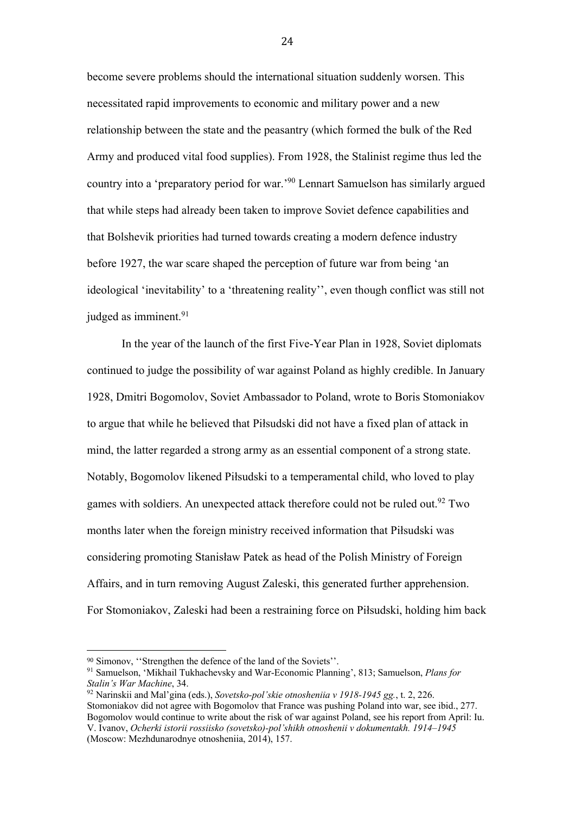become severe problems should the international situation suddenly worsen. This necessitated rapid improvements to economic and military power and a new relationship between the state and the peasantry (which formed the bulk of the Red Army and produced vital food supplies). From 1928, the Stalinist regime thus led the country into a 'preparatory period for war.'90 Lennart Samuelson has similarly argued that while steps had already been taken to improve Soviet defence capabilities and that Bolshevik priorities had turned towards creating a modern defence industry before 1927, the war scare shaped the perception of future war from being 'an ideological 'inevitability' to a 'threatening reality'', even though conflict was still not judged as imminent.<sup>91</sup>

In the year of the launch of the first Five-Year Plan in 1928, Soviet diplomats continued to judge the possibility of war against Poland as highly credible. In January 1928, Dmitri Bogomolov, Soviet Ambassador to Poland, wrote to Boris Stomoniakov to argue that while he believed that Piłsudski did not have a fixed plan of attack in mind, the latter regarded a strong army as an essential component of a strong state. Notably, Bogomolov likened Piłsudski to a temperamental child, who loved to play games with soldiers. An unexpected attack therefore could not be ruled out.<sup>92</sup> Two months later when the foreign ministry received information that Piłsudski was considering promoting Stanisław Patek as head of the Polish Ministry of Foreign Affairs, and in turn removing August Zaleski, this generated further apprehension. For Stomoniakov, Zaleski had been a restraining force on Piłsudski, holding him back

 

<sup>90</sup> Simonov, ''Strengthen the defence of the land of the Soviets''.

<sup>91</sup> Samuelson, 'Mikhail Tukhachevsky and War-Economic Planning', 813; Samuelson, *Plans for Stalin's War Machine*, 34.

<sup>92</sup> Narinskii and Mal'gina (eds.), *Sovetsko-pol'skie otnosheniia v 1918-1945 gg.*, t. 2, 226. Stomoniakov did not agree with Bogomolov that France was pushing Poland into war, see ibid., 277. Bogomolov would continue to write about the risk of war against Poland, see his report from April: Iu. V. Ivanov, *Ocherki istorii rossiisko (sovetsko)-pol'shikh otnoshenii v dokumentakh. 1914*–*1945* (Moscow: Mezhdunarodnye otnosheniia, 2014), 157.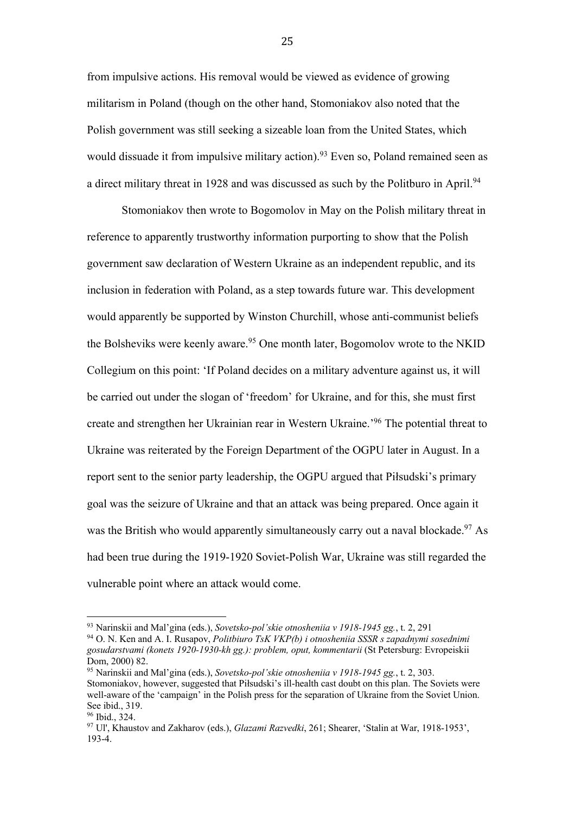from impulsive actions. His removal would be viewed as evidence of growing militarism in Poland (though on the other hand, Stomoniakov also noted that the Polish government was still seeking a sizeable loan from the United States, which would dissuade it from impulsive military action).<sup>93</sup> Even so, Poland remained seen as a direct military threat in 1928 and was discussed as such by the Politburo in April.<sup>94</sup>

Stomoniakov then wrote to Bogomolov in May on the Polish military threat in reference to apparently trustworthy information purporting to show that the Polish government saw declaration of Western Ukraine as an independent republic, and its inclusion in federation with Poland, as a step towards future war. This development would apparently be supported by Winston Churchill, whose anti-communist beliefs the Bolsheviks were keenly aware.<sup>95</sup> One month later, Bogomolov wrote to the NKID Collegium on this point: 'If Poland decides on a military adventure against us, it will be carried out under the slogan of 'freedom' for Ukraine, and for this, she must first create and strengthen her Ukrainian rear in Western Ukraine.'96 The potential threat to Ukraine was reiterated by the Foreign Department of the OGPU later in August. In a report sent to the senior party leadership, the OGPU argued that Piłsudski's primary goal was the seizure of Ukraine and that an attack was being prepared. Once again it was the British who would apparently simultaneously carry out a naval blockade.<sup>97</sup> As had been true during the 1919-1920 Soviet-Polish War, Ukraine was still regarded the vulnerable point where an attack would come.

 

<sup>93</sup> Narinskii and Mal'gina (eds.), *Sovetsko-pol'skie otnosheniia v 1918-1945 gg.*, t. 2, 291

<sup>94</sup> O. N. Ken and A. I. Rusapov, *Politbiuro TsK VKP(b) i otnosheniia SSSR s zapadnymi sosednimi gosudarstvami (konets 1920-1930-kh gg.): problem, oput, kommentarii* (St Petersburg: Evropeiskii Dom, 2000) 82.

<sup>95</sup> Narinskii and Mal'gina (eds.), *Sovetsko-pol'skie otnosheniia v 1918-1945 gg.*, t. 2, 303. Stomoniakov, however, suggested that Piłsudski's ill-health cast doubt on this plan. The Soviets were well-aware of the 'campaign' in the Polish press for the separation of Ukraine from the Soviet Union. See ibid., 319.

<sup>96</sup> Ibid., 324.

<sup>97</sup> Ul', Khaustov and Zakharov (eds.), *Glazami Razvedki*, 261; Shearer, 'Stalin at War, 1918-1953', 193-4.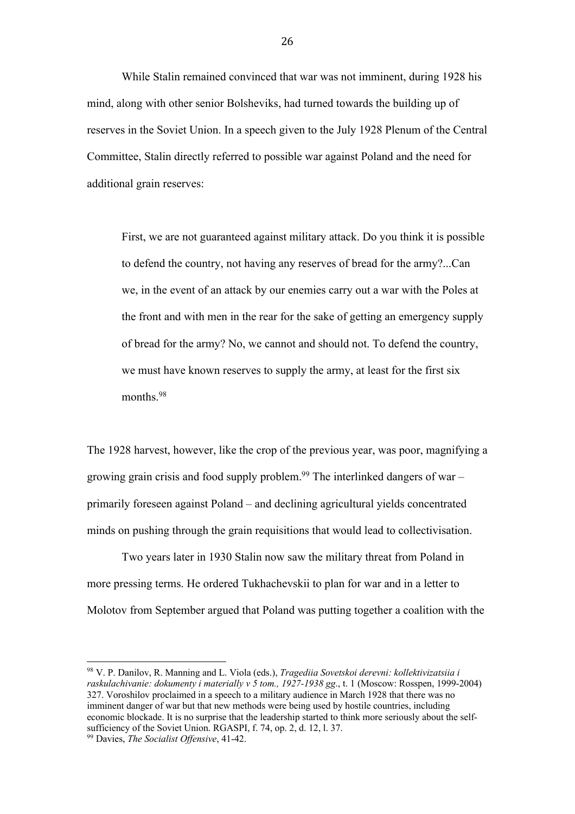While Stalin remained convinced that war was not imminent, during 1928 his mind, along with other senior Bolsheviks, had turned towards the building up of reserves in the Soviet Union. In a speech given to the July 1928 Plenum of the Central Committee, Stalin directly referred to possible war against Poland and the need for additional grain reserves:

First, we are not guaranteed against military attack. Do you think it is possible to defend the country, not having any reserves of bread for the army?...Can we, in the event of an attack by our enemies carry out a war with the Poles at the front and with men in the rear for the sake of getting an emergency supply of bread for the army? No, we cannot and should not. To defend the country, we must have known reserves to supply the army, at least for the first six months.<sup>98</sup>

The 1928 harvest, however, like the crop of the previous year, was poor, magnifying a growing grain crisis and food supply problem.<sup>99</sup> The interlinked dangers of war – primarily foreseen against Poland – and declining agricultural yields concentrated minds on pushing through the grain requisitions that would lead to collectivisation.

Two years later in 1930 Stalin now saw the military threat from Poland in more pressing terms. He ordered Tukhachevskii to plan for war and in a letter to Molotov from September argued that Poland was putting together a coalition with the

<sup>98</sup> V. P. Danilov, R. Manning and L. Viola (eds.), *Tragediia Sovetskoi derevni: kollektivizatsiia i raskulachivanie: dokumenty i materially v 5 tom., 1927-1938 gg*., t. 1 (Moscow: Rosspen, 1999-2004) 327. Voroshilov proclaimed in a speech to a military audience in March 1928 that there was no imminent danger of war but that new methods were being used by hostile countries, including economic blockade. It is no surprise that the leadership started to think more seriously about the selfsufficiency of the Soviet Union. RGASPI, f. 74, op. 2, d. 12, l. 37. <sup>99</sup> Davies, *The Socialist Offensive*, 41-42.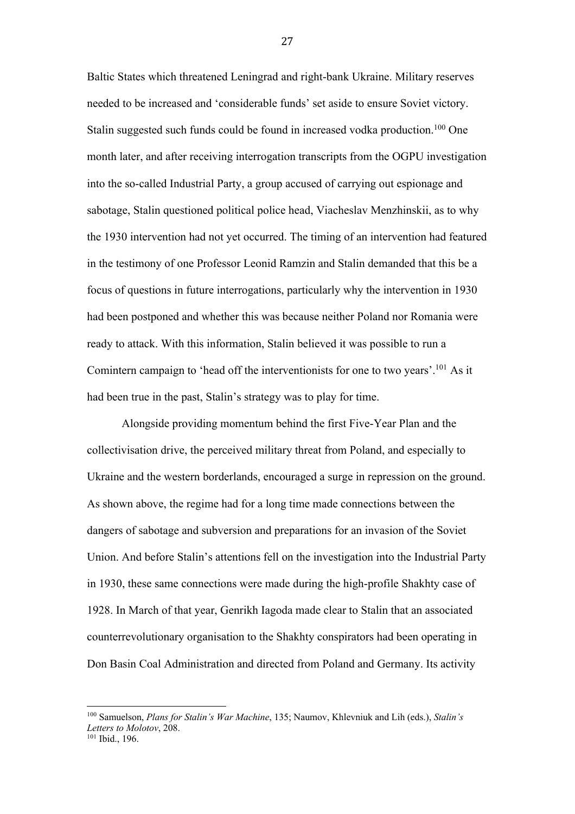Baltic States which threatened Leningrad and right-bank Ukraine. Military reserves needed to be increased and 'considerable funds' set aside to ensure Soviet victory. Stalin suggested such funds could be found in increased vodka production.<sup>100</sup> One month later, and after receiving interrogation transcripts from the OGPU investigation into the so-called Industrial Party, a group accused of carrying out espionage and sabotage, Stalin questioned political police head, Viacheslav Menzhinskii, as to why the 1930 intervention had not yet occurred. The timing of an intervention had featured in the testimony of one Professor Leonid Ramzin and Stalin demanded that this be a focus of questions in future interrogations, particularly why the intervention in 1930 had been postponed and whether this was because neither Poland nor Romania were ready to attack. With this information, Stalin believed it was possible to run a Comintern campaign to 'head off the interventionists for one to two years'.101 As it had been true in the past, Stalin's strategy was to play for time.

Alongside providing momentum behind the first Five-Year Plan and the collectivisation drive, the perceived military threat from Poland, and especially to Ukraine and the western borderlands, encouraged a surge in repression on the ground. As shown above, the regime had for a long time made connections between the dangers of sabotage and subversion and preparations for an invasion of the Soviet Union. And before Stalin's attentions fell on the investigation into the Industrial Party in 1930, these same connections were made during the high-profile Shakhty case of 1928. In March of that year, Genrikh Iagoda made clear to Stalin that an associated counterrevolutionary organisation to the Shakhty conspirators had been operating in Don Basin Coal Administration and directed from Poland and Germany. Its activity

<sup>100</sup> Samuelson, *Plans for Stalin's War Machine*, 135; Naumov, Khlevniuk and Lih (eds.), *Stalin's Letters to Molotov*, 208.<br><sup>101</sup> Ibid., 196.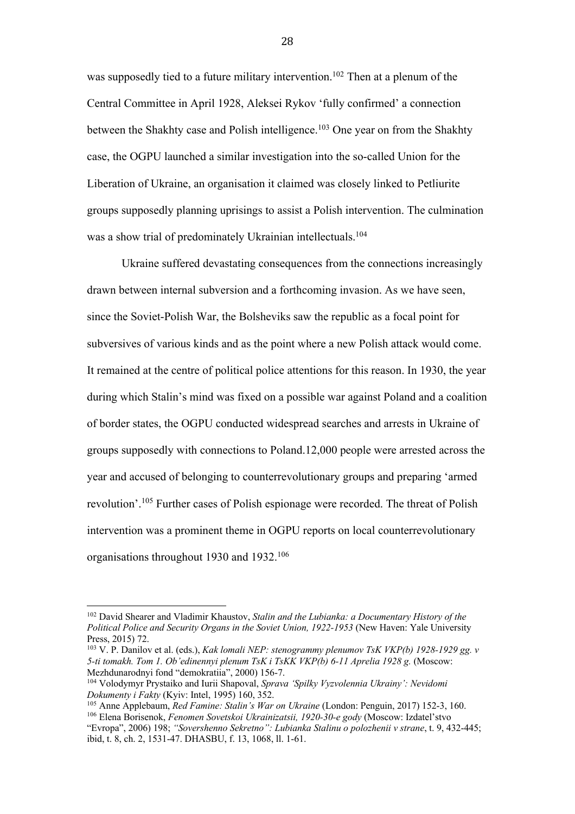was supposedly tied to a future military intervention.<sup>102</sup> Then at a plenum of the Central Committee in April 1928, Aleksei Rykov 'fully confirmed' a connection between the Shakhty case and Polish intelligence.<sup>103</sup> One year on from the Shakhty case, the OGPU launched a similar investigation into the so-called Union for the Liberation of Ukraine, an organisation it claimed was closely linked to Petliurite groups supposedly planning uprisings to assist a Polish intervention. The culmination was a show trial of predominately Ukrainian intellectuals. 104

Ukraine suffered devastating consequences from the connections increasingly drawn between internal subversion and a forthcoming invasion. As we have seen, since the Soviet-Polish War, the Bolsheviks saw the republic as a focal point for subversives of various kinds and as the point where a new Polish attack would come. It remained at the centre of political police attentions for this reason. In 1930, the year during which Stalin's mind was fixed on a possible war against Poland and a coalition of border states, the OGPU conducted widespread searches and arrests in Ukraine of groups supposedly with connections to Poland.12,000 people were arrested across the year and accused of belonging to counterrevolutionary groups and preparing 'armed revolution'.<sup>105</sup> Further cases of Polish espionage were recorded. The threat of Polish intervention was a prominent theme in OGPU reports on local counterrevolutionary organisations throughout 1930 and 1932.106

 

<sup>102</sup> David Shearer and Vladimir Khaustov, *Stalin and the Lubianka: a Documentary History of the Political Police and Security Organs in the Soviet Union, 1922-1953* (New Haven: Yale University Press, 2015) 72.

<sup>103</sup> V. P. Danilov et al. (eds.), *Kak lomali NEP: stenogrammy plenumov TsK VKP(b) 1928-1929 gg. v 5-ti tomakh. Tom 1. Ob'edinennyi plenum TsK i TsKK VKP(b) 6-11 Aprelia 1928 g.* (Moscow: Mezhdunarodnyi fond "demokratiia", 2000) 156-7.

<sup>104</sup> Volodymyr Prystaiko and Iurii Shapoval, *Sprava 'Spilky Vyzvolennia Ukrainy': Nevidomi Dokumenty i Fakty* (Kyiv: Intel, 1995) 160, 352.

<sup>105</sup> Anne Applebaum, *Red Famine: Stalin's War on Ukraine* (London: Penguin, 2017) 152-3, 160. <sup>106</sup> Elena Borisenok, *Fenomen Sovetskoi Ukrainizatsii, 1920-30-e gody* (Moscow: Izdatel'stvo "Evropa", 2006) 198; *"Sovershenno Sekretno": Lubianka Stalinu o polozhenii v strane*, t. 9, 432-445; ibid, t. 8, ch. 2, 1531-47. DHASBU, f. 13, 1068, ll. 1-61.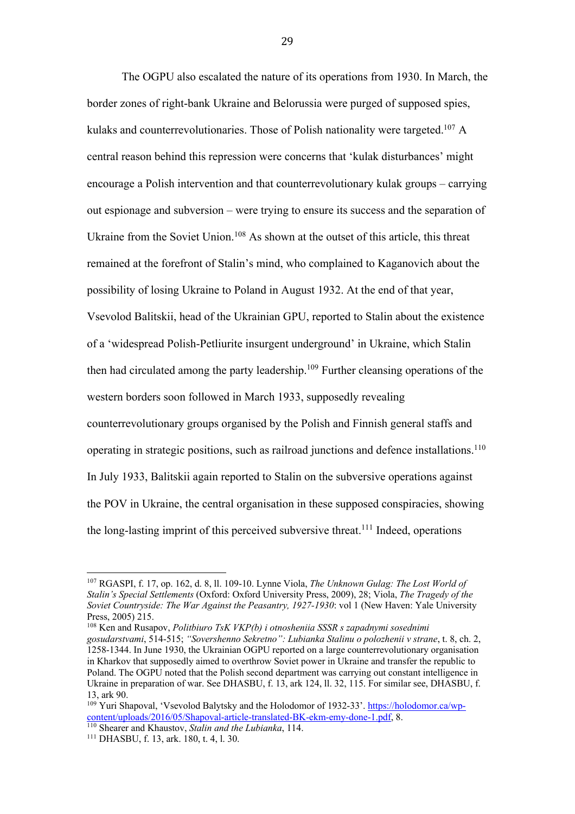The OGPU also escalated the nature of its operations from 1930. In March, the border zones of right-bank Ukraine and Belorussia were purged of supposed spies, kulaks and counterrevolutionaries. Those of Polish nationality were targeted.<sup>107</sup> A central reason behind this repression were concerns that 'kulak disturbances' might encourage a Polish intervention and that counterrevolutionary kulak groups – carrying out espionage and subversion – were trying to ensure its success and the separation of Ukraine from the Soviet Union.<sup>108</sup> As shown at the outset of this article, this threat remained at the forefront of Stalin's mind, who complained to Kaganovich about the possibility of losing Ukraine to Poland in August 1932. At the end of that year, Vsevolod Balitskii, head of the Ukrainian GPU, reported to Stalin about the existence of a 'widespread Polish-Petliurite insurgent underground' in Ukraine, which Stalin then had circulated among the party leadership.<sup>109</sup> Further cleansing operations of the western borders soon followed in March 1933, supposedly revealing counterrevolutionary groups organised by the Polish and Finnish general staffs and operating in strategic positions, such as railroad junctions and defence installations.110 In July 1933, Balitskii again reported to Stalin on the subversive operations against the POV in Ukraine, the central organisation in these supposed conspiracies, showing the long-lasting imprint of this perceived subversive threat.<sup>111</sup> Indeed, operations

<sup>108</sup> Ken and Rusapov, *Politbiuro TsK VKP(b) i otnosheniia SSSR s zapadnymi sosednimi gosudarstvami*, 514-515; *"Sovershenno Sekretno": Lubianka Stalinu o polozhenii v strane*, t. 8, ch. 2,

<sup>107</sup> RGASPI, f. 17, op. 162, d. 8, ll. 109-10. Lynne Viola, *The Unknown Gulag: The Lost World of Stalin's Special Settlements* (Oxford: Oxford University Press, 2009), 28; Viola, *The Tragedy of the Soviet Countryside: The War Against the Peasantry, 1927-1930*: vol 1 (New Haven: Yale University Press, 2005) 215.

<sup>1258-1344.</sup> In June 1930, the Ukrainian OGPU reported on a large counterrevolutionary organisation in Kharkov that supposedly aimed to overthrow Soviet power in Ukraine and transfer the republic to Poland. The OGPU noted that the Polish second department was carrying out constant intelligence in Ukraine in preparation of war. See DHASBU, f. 13, ark 124, ll. 32, 115. For similar see, DHASBU, f. 13, ark 90.

<sup>&</sup>lt;sup>109</sup> Yuri Shapoval, 'Vsevolod Balytsky and the Holodomor of 1932-33'. https://holodomor.ca/wpcontent/uploads/2016/05/Shapoval-article-translated-BK-ekm-emy-done-1.pdf, 8.

<sup>110</sup> Shearer and Khaustov, *Stalin and the Lubianka*, 114.

<sup>111</sup> DHASBU, f. 13, ark. 180, t. 4, l. 30.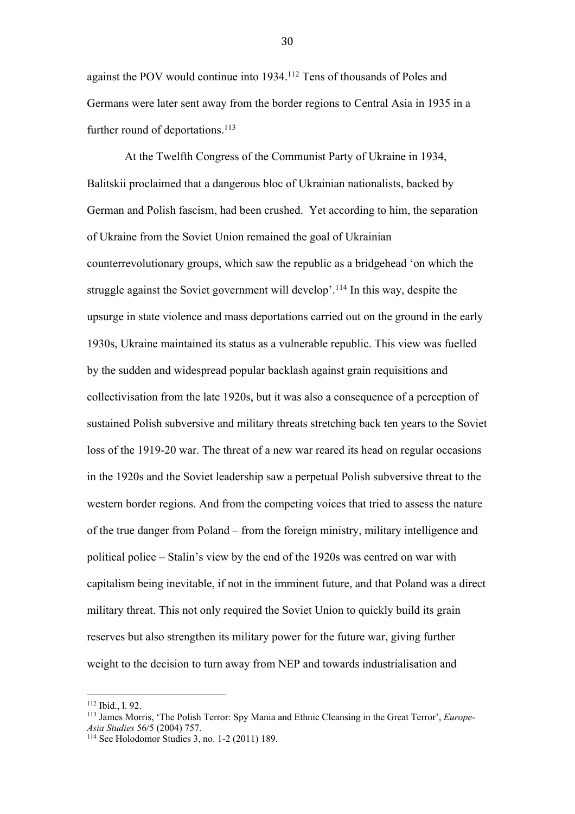against the POV would continue into 1934.112 Tens of thousands of Poles and Germans were later sent away from the border regions to Central Asia in 1935 in a further round of deportations.<sup>113</sup>

At the Twelfth Congress of the Communist Party of Ukraine in 1934, Balitskii proclaimed that a dangerous bloc of Ukrainian nationalists, backed by German and Polish fascism, had been crushed. Yet according to him, the separation of Ukraine from the Soviet Union remained the goal of Ukrainian counterrevolutionary groups, which saw the republic as a bridgehead 'on which the struggle against the Soviet government will develop'.114 In this way, despite the upsurge in state violence and mass deportations carried out on the ground in the early 1930s, Ukraine maintained its status as a vulnerable republic. This view was fuelled by the sudden and widespread popular backlash against grain requisitions and collectivisation from the late 1920s, but it was also a consequence of a perception of sustained Polish subversive and military threats stretching back ten years to the Soviet loss of the 1919-20 war. The threat of a new war reared its head on regular occasions in the 1920s and the Soviet leadership saw a perpetual Polish subversive threat to the western border regions. And from the competing voices that tried to assess the nature of the true danger from Poland – from the foreign ministry, military intelligence and political police – Stalin's view by the end of the 1920s was centred on war with capitalism being inevitable, if not in the imminent future, and that Poland was a direct military threat. This not only required the Soviet Union to quickly build its grain reserves but also strengthen its military power for the future war, giving further weight to the decision to turn away from NEP and towards industrialisation and

 

<sup>112</sup> Ibid., l. 92.

<sup>113</sup> James Morris, 'The Polish Terror: Spy Mania and Ethnic Cleansing in the Great Terror', *Europe-Asia Studies* 56/5 (2004) 757.

<sup>114</sup> See Holodomor Studies 3, no. 1-2 (2011) 189.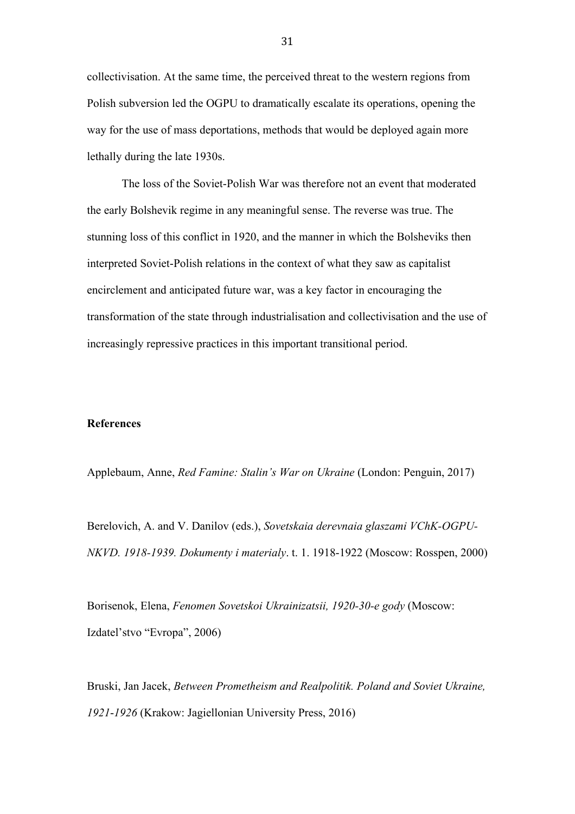collectivisation. At the same time, the perceived threat to the western regions from Polish subversion led the OGPU to dramatically escalate its operations, opening the way for the use of mass deportations, methods that would be deployed again more lethally during the late 1930s.

The loss of the Soviet-Polish War was therefore not an event that moderated the early Bolshevik regime in any meaningful sense. The reverse was true. The stunning loss of this conflict in 1920, and the manner in which the Bolsheviks then interpreted Soviet-Polish relations in the context of what they saw as capitalist encirclement and anticipated future war, was a key factor in encouraging the transformation of the state through industrialisation and collectivisation and the use of increasingly repressive practices in this important transitional period.

#### **References**

Applebaum, Anne, *Red Famine: Stalin's War on Ukraine* (London: Penguin, 2017)

Berelovich, A. and V. Danilov (eds.), *Sovetskaia derevnaia glaszami VChK-OGPU-NKVD. 1918-1939. Dokumenty i materialy*. t. 1. 1918-1922 (Moscow: Rosspen, 2000)

Borisenok, Elena, *Fenomen Sovetskoi Ukrainizatsii, 1920-30-e gody* (Moscow: Izdatel'stvo "Evropa", 2006)

Bruski, Jan Jacek, *Between Prometheism and Realpolitik. Poland and Soviet Ukraine, 1921*-*1926* (Krakow: Jagiellonian University Press, 2016)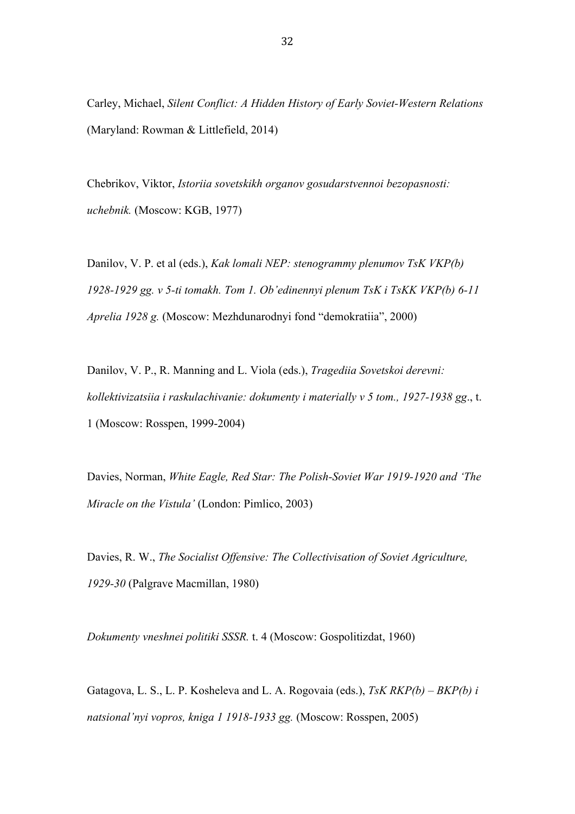Carley, Michael, *Silent Conflict: A Hidden History of Early Soviet-Western Relations* (Maryland: Rowman & Littlefield, 2014)

Chebrikov, Viktor, *Istoriia sovetskikh organov gosudarstvennoi bezopasnosti: uchebnik.* (Moscow: KGB, 1977)

Danilov, V. P. et al (eds.), *Kak lomali NEP: stenogrammy plenumov TsK VKP(b) 1928-1929 gg. v 5-ti tomakh. Tom 1. Ob'edinennyi plenum TsK i TsKK VKP(b) 6-11 Aprelia 1928 g.* (Moscow: Mezhdunarodnyi fond "demokratiia", 2000)

Danilov, V. P., R. Manning and L. Viola (eds.), *Tragediia Sovetskoi derevni: kollektivizatsiia i raskulachivanie: dokumenty i materially v 5 tom., 1927-1938 gg*., t. 1 (Moscow: Rosspen, 1999-2004)

Davies, Norman, *White Eagle, Red Star: The Polish-Soviet War 1919-1920 and 'The Miracle on the Vistula'* (London: Pimlico, 2003)

Davies, R. W., *The Socialist Offensive: The Collectivisation of Soviet Agriculture, 1929-30* (Palgrave Macmillan, 1980)

*Dokumenty vneshnei politiki SSSR.* t. 4 (Moscow: Gospolitizdat, 1960)

Gatagova, L. S., L. P. Kosheleva and L. A. Rogovaia (eds.), *TsK RKP(b) – BKP(b) i natsional'nyi vopros, kniga 1 1918-1933 gg.* (Moscow: Rosspen, 2005)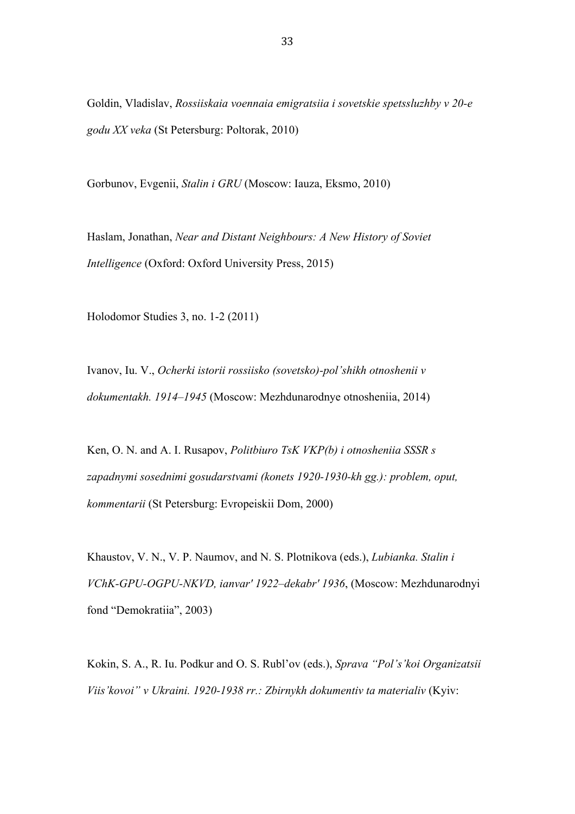Goldin, Vladislav, *Rossiiskaia voennaia emigratsiia i sovetskie spetssluzhby v 20-e godu XX veka* (St Petersburg: Poltorak, 2010)

Gorbunov, Evgenii, *Stalin i GRU* (Moscow: Iauza, Eksmo, 2010)

Haslam, Jonathan, *Near and Distant Neighbours: A New History of Soviet Intelligence* (Oxford: Oxford University Press, 2015)

Holodomor Studies 3, no. 1-2 (2011)

Ivanov, Iu. V., *Ocherki istorii rossiisko (sovetsko)-pol'shikh otnoshenii v dokumentakh. 1914*–*1945* (Moscow: Mezhdunarodnye otnosheniia, 2014)

Ken, O. N. and A. I. Rusapov, *Politbiuro TsK VKP(b) i otnosheniia SSSR s zapadnymi sosednimi gosudarstvami (konets 1920-1930-kh gg.): problem, oput, kommentarii* (St Petersburg: Evropeiskii Dom, 2000)

Khaustov, V. N., V. P. Naumov, and N. S. Plotnikova (eds.), *Lubianka. Stalin i VChK-GPU-OGPU-NKVD, ianvar' 1922–dekabr' 1936*, (Moscow: Mezhdunarodnyi fond "Demokratiia", 2003)

Kokin, S. A., R. Iu. Podkur and O. S. Rubl'ov (eds.), *Sprava "Pol's'koi Organizatsii Viis'kovoi" v Ukraini. 1920-1938 rr.: Zbirnykh dokumentiv ta materialiv* (Kyiv: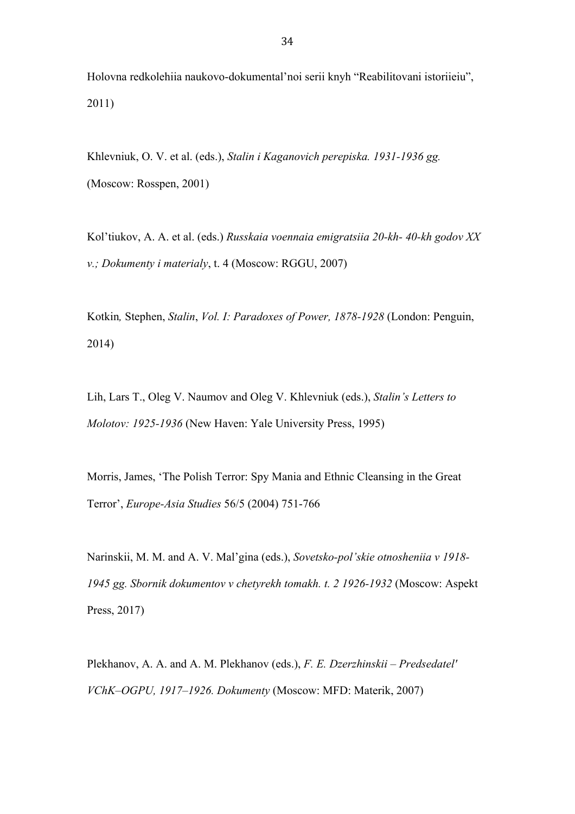Holovna redkolehiia naukovo-dokumental'noi serii knyh "Reabilitovani istoriieiu", 2011)

Khlevniuk, O. V. et al. (eds.), *Stalin i Kaganovich perepiska. 1931-1936 gg.* (Moscow: Rosspen, 2001)

Kol'tiukov, A. A. et al. (eds.) *Russkaia voennaia emigratsiia 20-kh- 40-kh godov XX v.; Dokumenty i materialy*, t. 4 (Moscow: RGGU, 2007)

Kotkin*,* Stephen, *Stalin*, *Vol. I: Paradoxes of Power, 1878-1928* (London: Penguin, 2014)

Lih, Lars T., Oleg V. Naumov and Oleg V. Khlevniuk (eds.), *Stalin's Letters to Molotov: 1925-1936* (New Haven: Yale University Press, 1995)

Morris, James, 'The Polish Terror: Spy Mania and Ethnic Cleansing in the Great Terror', *Europe-Asia Studies* 56/5 (2004) 751-766

Narinskii, M. M. and A. V. Mal'gina (eds.), *Sovetsko-pol'skie otnosheniia v 1918- 1945 gg. Sbornik dokumentov v chetyrekh tomakh. t. 2 1926-1932* (Moscow: Aspekt Press, 2017)

Plekhanov, A. A. and A. M. Plekhanov (eds.), *F. E. Dzerzhinskii – Predsedatel' VChK–OGPU, 1917–1926. Dokumenty* (Moscow: MFD: Materik, 2007)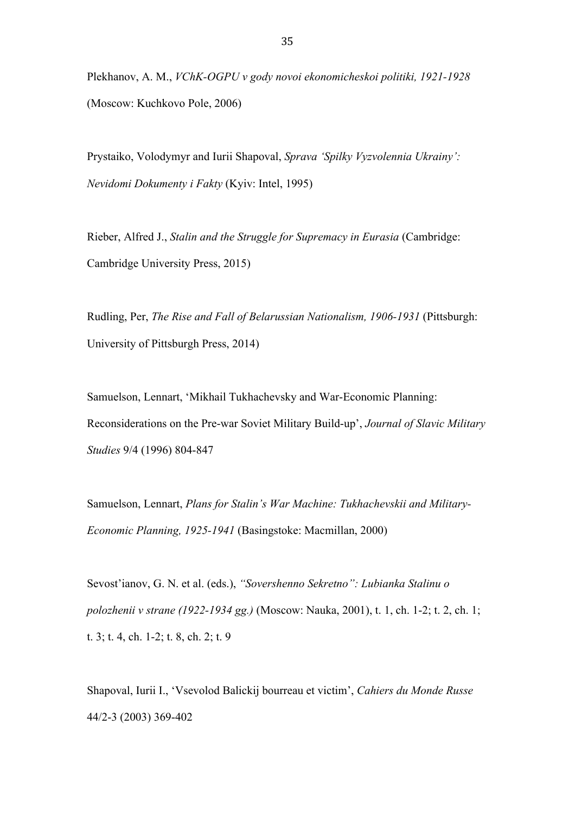Plekhanov, A. M., *VChK-OGPU v gody novoi ekonomicheskoi politiki, 1921-1928* (Moscow: Kuchkovo Pole, 2006)

Prystaiko, Volodymyr and Iurii Shapoval, *Sprava 'Spilky Vyzvolennia Ukrainy': Nevidomi Dokumenty i Fakty* (Kyiv: Intel, 1995)

Rieber, Alfred J., *Stalin and the Struggle for Supremacy in Eurasia* (Cambridge: Cambridge University Press, 2015)

Rudling, Per, *The Rise and Fall of Belarussian Nationalism, 1906-1931* (Pittsburgh: University of Pittsburgh Press, 2014)

Samuelson, Lennart, 'Mikhail Tukhachevsky and War-Economic Planning: Reconsiderations on the Pre-war Soviet Military Build-up', *Journal of Slavic Military Studies* 9/4 (1996) 804-847

Samuelson, Lennart, *Plans for Stalin's War Machine: Tukhachevskii and Military-Economic Planning, 1925-1941* (Basingstoke: Macmillan, 2000)

Sevost'ianov, G. N. et al. (eds.), *"Sovershenno Sekretno": Lubianka Stalinu o polozhenii v strane (1922-1934 gg.)* (Moscow: Nauka, 2001), t. 1, ch. 1-2; t. 2, ch. 1; t. 3; t. 4, ch. 1-2; t. 8, ch. 2; t. 9

Shapoval, Iurii I., 'Vsevolod Balickij bourreau et victim', *Cahiers du Monde Russe* 44/2-3 (2003) 369-402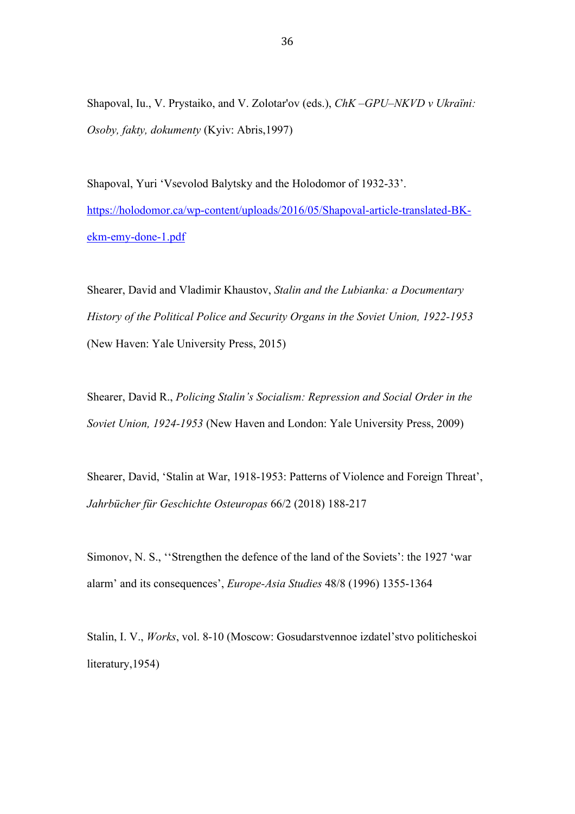Shapoval, Iu., V. Prystaiko, and V. Zolotar'ov (eds.), *ChK –GPU–NKVD v Ukraïni: Osoby, fakty, dokumenty* (Kyiv: Abris,1997)

Shapoval, Yuri 'Vsevolod Balytsky and the Holodomor of 1932-33'. https://holodomor.ca/wp-content/uploads/2016/05/Shapoval-article-translated-BKekm-emy-done-1.pdf

Shearer, David and Vladimir Khaustov, *Stalin and the Lubianka: a Documentary History of the Political Police and Security Organs in the Soviet Union, 1922-1953*  (New Haven: Yale University Press, 2015)

Shearer, David R., *Policing Stalin's Socialism: Repression and Social Order in the Soviet Union, 1924-1953* (New Haven and London: Yale University Press, 2009)

Shearer, David, 'Stalin at War, 1918-1953: Patterns of Violence and Foreign Threat', *Jahrbücher für Geschichte Osteuropas* 66/2 (2018) 188-217

Simonov, N. S., ''Strengthen the defence of the land of the Soviets': the 1927 'war alarm' and its consequences', *Europe-Asia Studies* 48/8 (1996) 1355-1364

Stalin, I. V., *Works*, vol. 8-10 (Moscow: Gosudarstvennoe izdatel'stvo politicheskoi literatury,1954)